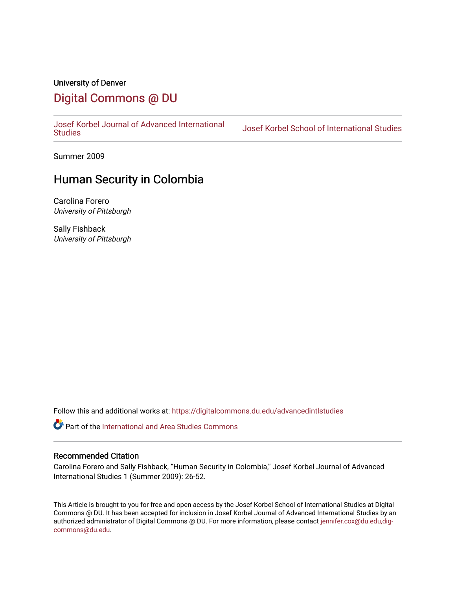# University of Denver [Digital Commons @ DU](https://digitalcommons.du.edu/)

[Josef Korbel Journal of Advanced International](https://digitalcommons.du.edu/advancedintlstudies) 

Josef Korbel School of International Studies

Summer 2009

# Human Security in Colombia

Carolina Forero University of Pittsburgh

Sally Fishback University of Pittsburgh

Follow this and additional works at: [https://digitalcommons.du.edu/advancedintlstudies](https://digitalcommons.du.edu/advancedintlstudies?utm_source=digitalcommons.du.edu%2Fadvancedintlstudies%2F21&utm_medium=PDF&utm_campaign=PDFCoverPages)

Part of the [International and Area Studies Commons](http://network.bepress.com/hgg/discipline/360?utm_source=digitalcommons.du.edu%2Fadvancedintlstudies%2F21&utm_medium=PDF&utm_campaign=PDFCoverPages) 

#### Recommended Citation

Carolina Forero and Sally Fishback, "Human Security in Colombia," Josef Korbel Journal of Advanced International Studies 1 (Summer 2009): 26-52.

This Article is brought to you for free and open access by the Josef Korbel School of International Studies at Digital Commons @ DU. It has been accepted for inclusion in Josef Korbel Journal of Advanced International Studies by an authorized administrator of Digital Commons @ DU. For more information, please contact [jennifer.cox@du.edu,dig](mailto:jennifer.cox@du.edu,dig-commons@du.edu)[commons@du.edu.](mailto:jennifer.cox@du.edu,dig-commons@du.edu)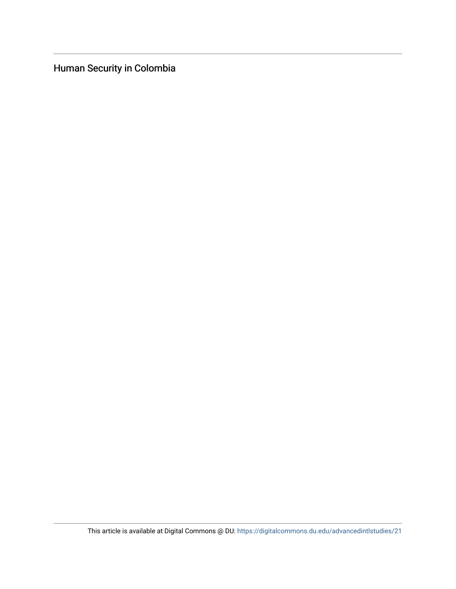Human Security in Colombia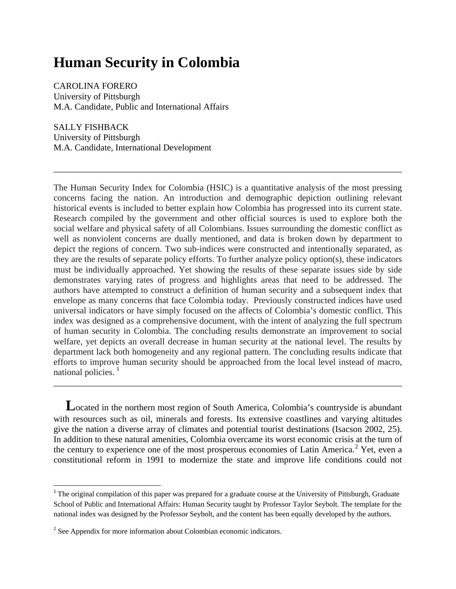# **Human Security in Colombia**

CAROLINA FORERO University of Pittsburgh M.A. Candidate, Public and International Affairs

SALLY FISHBACK University of Pittsburgh M.A. Candidate, International Development

The Human Security Index for Colombia (HSIC) is a quantitative analysis of the most pressing concerns facing the nation. An introduction and demographic depiction outlining relevant historical events is included to better explain how Colombia has progressed into its current state. Research compiled by the government and other official sources is used to explore both the social welfare and physical safety of all Colombians. Issues surrounding the domestic conflict as well as nonviolent concerns are dually mentioned, and data is broken down by department to depict the regions of concern. Two sub-indices were constructed and intentionally separated, as they are the results of separate policy efforts. To further analyze policy option(s), these indicators must be individually approached. Yet showing the results of these separate issues side by side demonstrates varying rates of progress and highlights areas that need to be addressed. The authors have attempted to construct a definition of human security and a subsequent index that envelope as many concerns that face Colombia today. Previously constructed indices have used universal indicators or have simply focused on the affects of Colombia's domestic conflict. This index was designed as a comprehensive document, with the intent of analyzing the full spectrum of human security in Colombia. The concluding results demonstrate an improvement to social welfare, yet depicts an overall decrease in human security at the national level. The results by department lack both homogeneity and any regional pattern. The concluding results indicate that efforts to improve human security should be approached from the local level instead of macro, national policies.<sup>[1](#page-2-0)</sup>

\_\_\_\_\_\_\_\_\_\_\_\_\_\_\_\_\_\_\_\_\_\_\_\_\_\_\_\_\_\_\_\_\_\_\_\_\_\_\_\_\_\_\_\_\_\_\_\_\_\_\_\_\_\_\_\_\_\_\_\_\_\_\_\_\_\_\_\_\_\_\_\_\_\_\_\_\_\_

**L**ocated in the northern most region of South America, Colombia's countryside is abundant with resources such as oil, minerals and forests. Its extensive coastlines and varying altitudes give the nation a diverse array of climates and potential tourist destinations (Isacson 2002, 25). In addition to these natural amenities, Colombia overcame its worst economic crisis at the turn of the century to experience one of the most prosperous economies of Latin America.<sup>[2](#page-2-1)</sup> Yet, even a constitutional reform in 1991 to modernize the state and improve life conditions could not

\_\_\_\_\_\_\_\_\_\_\_\_\_\_\_\_\_\_\_\_\_\_\_\_\_\_\_\_\_\_\_\_\_\_\_\_\_\_\_\_\_\_\_\_\_\_\_\_\_\_\_\_\_\_\_\_\_\_\_\_\_\_\_\_\_\_\_\_\_\_\_\_\_\_\_\_\_\_

<span id="page-2-0"></span><sup>&</sup>lt;sup>1</sup> The original compilation of this paper was prepared for a graduate course at the University of Pittsburgh, Graduate School of Public and International Affairs: Human Security taught by Professor Taylor Seybolt. The template for the national index was designed by the Professor Seybolt, and the content has been equally developed by the authors.

<span id="page-2-1"></span><sup>&</sup>lt;sup>2</sup> See Appendix for more information about Colombian economic indicators.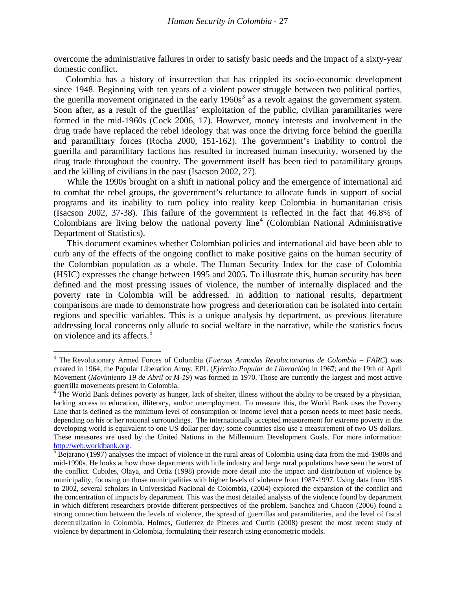overcome the administrative failures in order to satisfy basic needs and the impact of a sixty-year domestic conflict.

Colombia has a history of insurrection that has crippled its socio-economic development since 1948. Beginning with ten years of a violent power struggle between two political parties, the guerilla movement originated in the early  $1960s<sup>3</sup>$  $1960s<sup>3</sup>$  $1960s<sup>3</sup>$  as a revolt against the government system. Soon after, as a result of the guerillas' exploitation of the public, civilian paramilitaries were formed in the mid-1960s (Cock 2006, 17). However, money interests and involvement in the drug trade have replaced the rebel ideology that was once the driving force behind the guerilla and paramilitary forces (Rocha 2000, 151-162). The government's inability to control the guerilla and paramilitary factions has resulted in increased human insecurity, worsened by the drug trade throughout the country. The government itself has been tied to paramilitary groups and the killing of civilians in the past (Isacson 2002, 27).

While the 1990s brought on a shift in national policy and the emergence of international aid to combat the rebel groups, the government's reluctance to allocate funds in support of social programs and its inability to turn policy into reality keep Colombia in humanitarian crisis (Isacson 2002, 37-38). This failure of the government is reflected in the fact that 46.8% of Colombians are living below the national poverty line [4](#page-3-1) (Colombian National Administrative Department of Statistics).

This document examines whether Colombian policies and international aid have been able to curb any of the effects of the ongoing conflict to make positive gains on the human security of the Colombian population as a whole. The Human Security Index for the case of Colombia (HSIC) expresses the change between 1995 and 2005. To illustrate this, human security has been defined and the most pressing issues of violence, the number of internally displaced and the poverty rate in Colombia will be addressed. In addition to national results, department comparisons are made to demonstrate how progress and deterioration can be isolated into certain regions and specific variables. This is a unique analysis by department, as previous literature addressing local concerns only allude to social welfare in the narrative, while the statistics focus on violence and its affects. [5](#page-3-2)

ı

<span id="page-3-0"></span><sup>3</sup> The Revolutionary Armed Forces of Colombia (*Fuerzas Armadas Revolucionarias de Colombia* – *FARC*) was created in 1964; the Popular Liberation Army, EPL (*Ejército Popular de Liberación*) in 1967; and the 19th of April Movement (*Movimiento 19 de Abril* or *M-19*) was formed in 1970. Those are currently the largest and most active guerrilla movements present in Colombia.

<span id="page-3-1"></span> $\frac{4}{1}$  The World Bank defines poverty as hunger, lack of shelter, illness without the ability to be treated by a physician, lacking access to education, illiteracy, and/or unemployment. To measure this, the World Bank uses the Poverty Line that is defined as the minimum level of consumption or income level that a person needs to meet basic needs, depending on his or her national surroundings. The internationally accepted measurement for extreme poverty in the developing world is equivalent to one US dollar per day; some countries also use a measurement of two US dollars. These measures are used by the United Nations in the Millennium Development Goals. For more information:

<span id="page-3-2"></span> $\frac{http://web.worldbank.org.}{5}$  $\frac{http://web.worldbank.org.}{5}$  $\frac{http://web.worldbank.org.}{5}$  $\frac{http://web.worldbank.org.}{5}$  $\frac{http://web.worldbank.org.}{5}$  Bejarano (1997) analyses the impact of violence in the rural areas of Colombia using data from the mid-1980s and mid-1990s. He looks at how those departments with little industry and large rural populations have seen the worst of the conflict. Cubides, Olaya, and Ortiz (1998) provide more detail into the impact and distribution of violence by municipality, focusing on those municipalities with higher levels of violence from 1987-1997. Using data from 1985 to 2002, several scholars in Universidad Nacional de Colombia, (2004) explored the expansion of the conflict and the concentration of impacts by department. This was the most detailed analysis of the violence found by department in which different researchers provide different perspectives of the problem. Sanchez and Chacon (2006) found a strong connection between the levels of violence, the spread of guerrillas and paramilitaries, and the level of fiscal decentralization in Colombia. Holmes, Gutierrez de Pineres and Curtin (2008) present the most recent study of violence by department in Colombia, formulating their research using econometric models.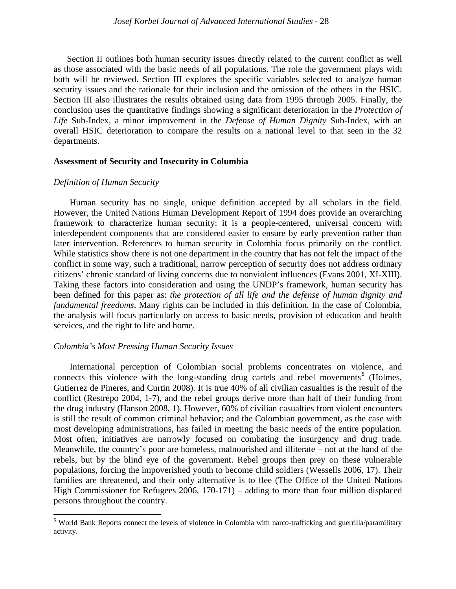Section II outlines both human security issues directly related to the current conflict as well as those associated with the basic needs of all populations. The role the government plays with both will be reviewed. Section III explores the specific variables selected to analyze human security issues and the rationale for their inclusion and the omission of the others in the HSIC. Section III also illustrates the results obtained using data from 1995 through 2005. Finally, the conclusion uses the quantitative findings showing a significant deterioration in the *Protection of Life* Sub-Index, a minor improvement in the *Defense of Human Dignity* Sub-Index, with an overall HSIC deterioration to compare the results on a national level to that seen in the 32 departments.

#### **Assessment of Security and Insecurity in Columbia**

#### *Definition of Human Security*

 $\overline{\phantom{0}}$ 

Human security has no single, unique definition accepted by all scholars in the field. However, the United Nations Human Development Report of 1994 does provide an overarching framework to characterize human security: it is a people-centered, universal concern with interdependent components that are considered easier to ensure by early prevention rather than later intervention. References to human security in Colombia focus primarily on the conflict. While statistics show there is not one department in the country that has not felt the impact of the conflict in some way, such a traditional, narrow perception of security does not address ordinary citizens' chronic standard of living concerns due to nonviolent influences (Evans 2001, XI-XIII). Taking these factors into consideration and using the UNDP's framework, human security has been defined for this paper as: *the protection of all life and the defense of human dignity and fundamental freedoms*. Many rights can be included in this definition. In the case of Colombia, the analysis will focus particularly on access to basic needs, provision of education and health services, and the right to life and home.

#### *Colombia's Most Pressing Human Security Issues*

 International perception of Colombian social problems concentrates on violence, and connects this violence with the long-standing drug cartels and rebel movements<sup>[6](#page-4-0)</sup> (Holmes, Gutierrez de Pineres, and Curtin 2008). It is true 40% of all civilian casualties is the result of the conflict (Restrepo 2004, 1-7), and the rebel groups derive more than half of their funding from the drug industry (Hanson 2008, 1). However, 60% of civilian casualties from violent encounters is still the result of common criminal behavior; and the Colombian government, as the case with most developing administrations, has failed in meeting the basic needs of the entire population. Most often, initiatives are narrowly focused on combating the insurgency and drug trade. Meanwhile, the country's poor are homeless, malnourished and illiterate – not at the hand of the rebels, but by the blind eye of the government. Rebel groups then prey on these vulnerable populations, forcing the impoverished youth to become child soldiers (Wessells 2006, 17). Their families are threatened, and their only alternative is to flee (The Office of the United Nations High Commissioner for Refugees 2006, 170-171) – adding to more than four million displaced persons throughout the country.

<span id="page-4-0"></span><sup>6</sup> World Bank Reports connect the levels of violence in Colombia with narco-trafficking and guerrilla/paramilitary activity.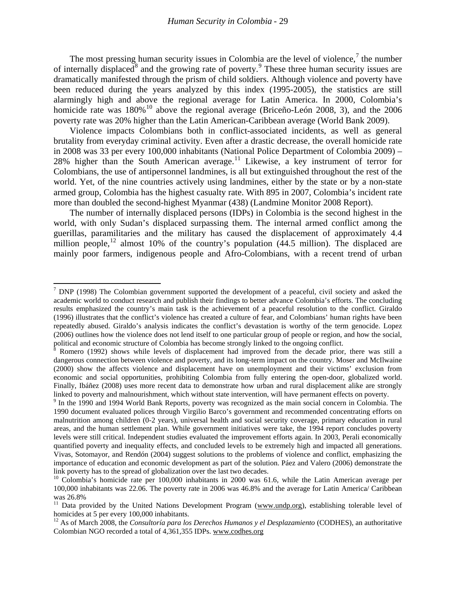The most pressing human security issues in Colombia are the level of violence, $<sup>7</sup>$  $<sup>7</sup>$  $<sup>7</sup>$  the number</sup> of internally displaced<sup>[8](#page-5-1)</sup> and the growing rate of poverty.<sup>[9](#page-5-2)</sup> These three human security issues are dramatically manifested through the prism of child soldiers. Although violence and poverty have been reduced during the years analyzed by this index (1995-2005), the statistics are still alarmingly high and above the regional average for Latin America. In 2000, Colombia's homicide rate was  $180\%$ <sup>[10](#page-5-3)</sup> above the regional average (Briceño-León 2008, 3), and the 2006 poverty rate was 20% higher than the Latin American-Caribbean average (World Bank 2009).

Violence impacts Colombians both in conflict-associated incidents, as well as general brutality from everyday criminal activity. Even after a drastic decrease, the overall homicide rate in 2008 was 33 per every 100,000 inhabitants (National Police Department of Colombia 2009) – 28% higher than the South American average. [11](#page-5-4) Likewise, a key instrument of terror for Colombians, the use of antipersonnel landmines, is all but extinguished throughout the rest of the world. Yet, of the nine countries actively using landmines, either by the state or by a non-state armed group, Colombia has the highest casualty rate. With 895 in 2007, Colombia's incident rate more than doubled the second-highest Myanmar (438) (Landmine Monitor 2008 Report).

The number of internally displaced persons (IDPs) in Colombia is the second highest in the world, with only Sudan's displaced surpassing them. The internal armed conflict among the guerillas, paramilitaries and the military has caused the displacement of approximately 4.4 million people,<sup>[12](#page-5-5)</sup> almost 10% of the country's population  $(44.5 \text{ million})$ . The displaced are mainly poor farmers, indigenous people and Afro-Colombians, with a recent trend of urban

 $\overline{\phantom{0}}$ 

<span id="page-5-0"></span> $7$  DNP (1998) The Colombian government supported the development of a peaceful, civil society and asked the academic world to conduct research and publish their findings to better advance Colombia's efforts. The concluding results emphasized the country's main task is the achievement of a peaceful resolution to the conflict. Giraldo (1996) illustrates that the conflict's violence has created a culture of fear, and Colombians' human rights have been repeatedly abused. Giraldo's analysis indicates the conflict's devastation is worthy of the term genocide. Lopez (2006) outlines how the violence does not lend itself to one particular group of people or region, and how the social, political and economic structure of Colombia has become strongly linked to the ongoing conflict.

<span id="page-5-1"></span><sup>8</sup> Romero (1992) shows while levels of displacement had improved from the decade prior, there was still a dangerous connection between violence and poverty, and its long-term impact on the country. Moser and McIlwaine (2000) show the affects violence and displacement have on unemployment and their victims' exclusion from economic and social opportunities, prohibiting Colombia from fully entering the open-door, globalized world. Finally, Ibáñez (2008) uses more recent data to demonstrate how urban and rural displacement alike are strongly linked to poverty and malnourishment, which without state intervention, will have permanent effects on poverty.

<span id="page-5-2"></span><sup>&</sup>lt;sup>9</sup> In the 1990 and 1994 World Bank Reports, poverty was recognized as the main social concern in Colombia. The 1990 document evaluated polices through Virgilio Barco's government and recommended concentrating efforts on malnutrition among children (0-2 years), universal health and social security coverage, primary education in rural areas, and the human settlement plan. While government initiatives were take, the 1994 report concludes poverty levels were still critical. Independent studies evaluated the improvement efforts again. In 2003, Perali economically quantified poverty and inequality effects, and concluded levels to be extremely high and impacted all generations. Vivas, Sotomayor, and Rendón (2004) suggest solutions to the problems of violence and conflict, emphasizing the importance of education and economic development as part of the solution. Páez and Valero (2006) demonstrate the link poverty has to the spread of globalization over the last two decades.

<span id="page-5-3"></span><sup>&</sup>lt;sup>10</sup> Colombia's homicide rate per 100,000 inhabitants in 2000 was 61.6, while the Latin American average per 100,000 inhabitants was 22.06. The poverty rate in 2006 was 46.8% and the average for Latin America/ Caribbean was 26.8%

<span id="page-5-4"></span><sup>&</sup>lt;sup>11</sup> Data provided by the United Nations Development Program [\(www.undp.org\)](http://www.undp.org/), establishing tolerable level of homicides at 5 per every 100,000 inhabitants.<br><sup>12</sup> As of March 2008, the *Consultoría para los Derechos Humanos y el Desplazamiento* (CODHES), an authoritative

<span id="page-5-5"></span>Colombian NGO recorded a total of 4,361,355 IDPs. [www.codhes.org](http://www.codhes.org/)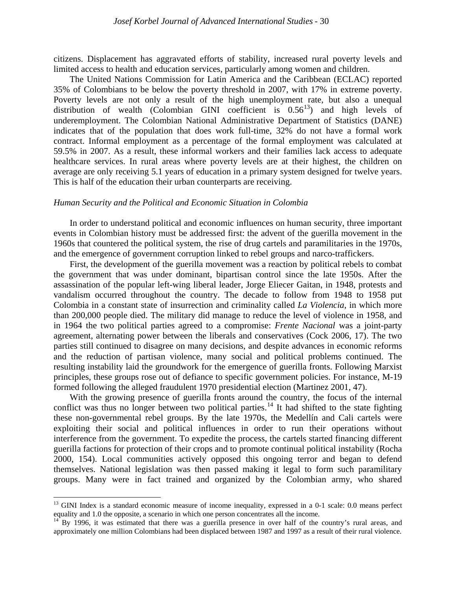citizens. Displacement has aggravated efforts of stability, increased rural poverty levels and limited access to health and education services, particularly among women and children.

The United Nations Commission for Latin America and the Caribbean (ECLAC) reported 35% of Colombians to be below the poverty threshold in 2007, with 17% in extreme poverty. Poverty levels are not only a result of the high unemployment rate, but also a unequal distribution of wealth (Colombian GINI coefficient is  $0.56^{13}$  $0.56^{13}$  $0.56^{13}$ ) and high levels of underemployment. The Colombian National Administrative Department of Statistics (DANE) indicates that of the population that does work full-time, 32% do not have a formal work contract. Informal employment as a percentage of the formal employment was calculated at 59.5% in 2007. As a result, these informal workers and their families lack access to adequate healthcare services. In rural areas where poverty levels are at their highest, the children on average are only receiving 5.1 years of education in a primary system designed for twelve years. This is half of the education their urban counterparts are receiving.

#### *Human Security and the Political and Economic Situation in Colombia*

In order to understand political and economic influences on human security, three important events in Colombian history must be addressed first: the advent of the guerilla movement in the 1960s that countered the political system, the rise of drug cartels and paramilitaries in the 1970s, and the emergence of government corruption linked to rebel groups and narco-traffickers.

First, the development of the guerilla movement was a reaction by political rebels to combat the government that was under dominant, bipartisan control since the late 1950s. After the assassination of the popular left-wing liberal leader, Jorge Eliecer Gaitan, in 1948, protests and vandalism occurred throughout the country. The decade to follow from 1948 to 1958 put Colombia in a constant state of insurrection and criminality called *La Violencia*, in which more than 200,000 people died. The military did manage to reduce the level of violence in 1958, and in 1964 the two political parties agreed to a compromise: *Frente Nacional* was a joint-party agreement, alternating power between the liberals and conservatives (Cock 2006, 17). The two parties still continued to disagree on many decisions, and despite advances in economic reforms and the reduction of partisan violence, many social and political problems continued. The resulting instability laid the groundwork for the emergence of guerilla fronts. Following Marxist principles, these groups rose out of defiance to specific government policies. For instance, M-19 formed following the alleged fraudulent 1970 presidential election (Martinez 2001, 47).

With the growing presence of guerilla fronts around the country, the focus of the internal conflict was thus no longer between two political parties.<sup>[14](#page-6-1)</sup> It had shifted to the state fighting these non-governmental rebel groups. By the late 1970s, the Medellín and Cali cartels were exploiting their social and political influences in order to run their operations without interference from the government. To expedite the process, the cartels started financing different guerilla factions for protection of their crops and to promote continual political instability (Rocha 2000, 154). Local communities actively opposed this ongoing terror and began to defend themselves. National legislation was then passed making it legal to form such paramilitary groups. Many were in fact trained and organized by the Colombian army, who shared

 $\overline{\phantom{0}}$ 

<span id="page-6-0"></span> $13$  GINI Index is a standard economic measure of income inequality, expressed in a 0-1 scale: 0.0 means perfect equality and 1.0 the opposite, a scenario in which one person concentrates all the income.

<span id="page-6-1"></span><sup>&</sup>lt;sup>14</sup> By 1996, it was estimated that there was a guerilla presence in over half of the country's rural areas, and approximately one million Colombians had been displaced between 1987 and 1997 as a result of their rural violence.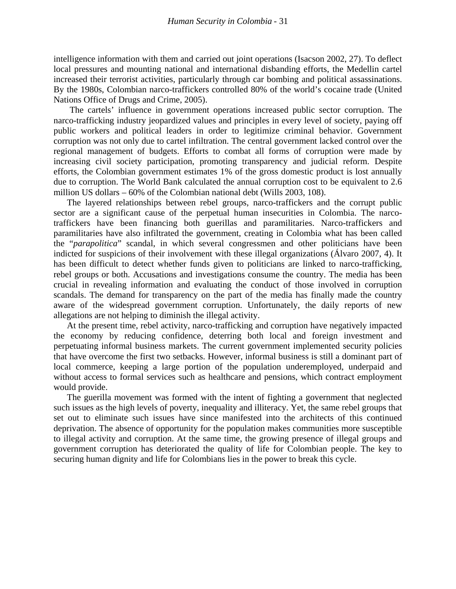intelligence information with them and carried out joint operations (Isacson 2002, 27). To deflect local pressures and mounting national and international disbanding efforts, the Medellin cartel increased their terrorist activities, particularly through car bombing and political assassinations. By the 1980s, Colombian narco-traffickers controlled 80% of the world's cocaine trade (United Nations Office of Drugs and Crime, 2005).

The cartels' influence in government operations increased public sector corruption. The narco-trafficking industry jeopardized values and principles in every level of society, paying off public workers and political leaders in order to legitimize criminal behavior. Government corruption was not only due to cartel infiltration. The central government lacked control over the regional management of budgets. Efforts to combat all forms of corruption were made by increasing civil society participation, promoting transparency and judicial reform. Despite efforts, the Colombian government estimates 1% of the gross domestic product is lost annually due to corruption. The World Bank calculated the annual corruption cost to be equivalent to 2.6 million US dollars – 60% of the Colombian national debt (Wills 2003, 108).

The layered relationships between rebel groups, narco-traffickers and the corrupt public sector are a significant cause of the perpetual human insecurities in Colombia. The narcotraffickers have been financing both guerillas and paramilitaries. Narco-traffickers and paramilitaries have also infiltrated the government, creating in Colombia what has been called the "*parapolitica*" scandal, in which several congressmen and other politicians have been indicted for suspicions of their involvement with these illegal organizations (Álvaro 2007, 4). It has been difficult to detect whether funds given to politicians are linked to narco-trafficking, rebel groups or both. Accusations and investigations consume the country. The media has been crucial in revealing information and evaluating the conduct of those involved in corruption scandals. The demand for transparency on the part of the media has finally made the country aware of the widespread government corruption. Unfortunately, the daily reports of new allegations are not helping to diminish the illegal activity.

At the present time, rebel activity, narco-trafficking and corruption have negatively impacted the economy by reducing confidence, deterring both local and foreign investment and perpetuating informal business markets. The current government implemented security policies that have overcome the first two setbacks. However, informal business is still a dominant part of local commerce, keeping a large portion of the population underemployed, underpaid and without access to formal services such as healthcare and pensions, which contract employment would provide.

The guerilla movement was formed with the intent of fighting a government that neglected such issues as the high levels of poverty, inequality and illiteracy. Yet, the same rebel groups that set out to eliminate such issues have since manifested into the architects of this continued deprivation. The absence of opportunity for the population makes communities more susceptible to illegal activity and corruption. At the same time, the growing presence of illegal groups and government corruption has deteriorated the quality of life for Colombian people. The key to securing human dignity and life for Colombians lies in the power to break this cycle.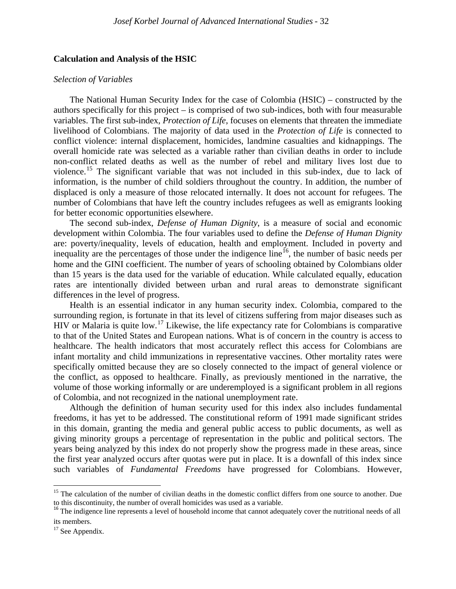#### **Calculation and Analysis of the HSIC**

#### *Selection of Variables*

The National Human Security Index for the case of Colombia (HSIC) – constructed by the authors specifically for this project – is comprised of two sub-indices, both with four measurable variables. The first sub-index, *Protection of Life*, focuses on elements that threaten the immediate livelihood of Colombians. The majority of data used in the *Protection of Life* is connected to conflict violence: internal displacement, homicides, landmine casualties and kidnappings. The overall homicide rate was selected as a variable rather than civilian deaths in order to include non-conflict related deaths as well as the number of rebel and military lives lost due to violence.<sup>[15](#page-8-0)</sup> The significant variable that was not included in this sub-index, due to lack of information, is the number of child soldiers throughout the country. In addition, the number of displaced is only a measure of those relocated internally. It does not account for refugees. The number of Colombians that have left the country includes refugees as well as emigrants looking for better economic opportunities elsewhere.

The second sub-index, *Defense of Human Dignity*, is a measure of social and economic development within Colombia. The four variables used to define the *Defense of Human Dignity* are: poverty/inequality, levels of education, health and employment. Included in poverty and inequality are the percentages of those under the indigence line<sup>[16](#page-8-1)</sup>, the number of basic needs per home and the GINI coefficient. The number of years of schooling obtained by Colombians older than 15 years is the data used for the variable of education. While calculated equally, education rates are intentionally divided between urban and rural areas to demonstrate significant differences in the level of progress.

Health is an essential indicator in any human security index. Colombia, compared to the surrounding region, is fortunate in that its level of citizens suffering from major diseases such as HIV or Malaria is quite low.<sup>[17](#page-8-2)</sup> Likewise, the life expectancy rate for Colombians is comparative to that of the United States and European nations. What is of concern in the country is access to healthcare. The health indicators that most accurately reflect this access for Colombians are infant mortality and child immunizations in representative vaccines. Other mortality rates were specifically omitted because they are so closely connected to the impact of general violence or the conflict, as opposed to healthcare. Finally, as previously mentioned in the narrative, the volume of those working informally or are underemployed is a significant problem in all regions of Colombia, and not recognized in the national unemployment rate.

Although the definition of human security used for this index also includes fundamental freedoms, it has yet to be addressed. The constitutional reform of 1991 made significant strides in this domain, granting the media and general public access to public documents, as well as giving minority groups a percentage of representation in the public and political sectors. The years being analyzed by this index do not properly show the progress made in these areas, since the first year analyzed occurs after quotas were put in place. It is a downfall of this index since such variables of *Fundamental Freedoms* have progressed for Colombians. However,

 $\overline{\phantom{0}}$ 

<span id="page-8-0"></span><sup>&</sup>lt;sup>15</sup> The calculation of the number of civilian deaths in the domestic conflict differs from one source to another. Due to this discontinuity, the number of overall homicides was used as a variable.

<span id="page-8-1"></span>to this discontinuity, the number of overall homicides was used as a variable. The indigence line represents a level of household income that cannot adequately cover the nutritional needs of all its members.

<span id="page-8-2"></span> $17$  See Appendix.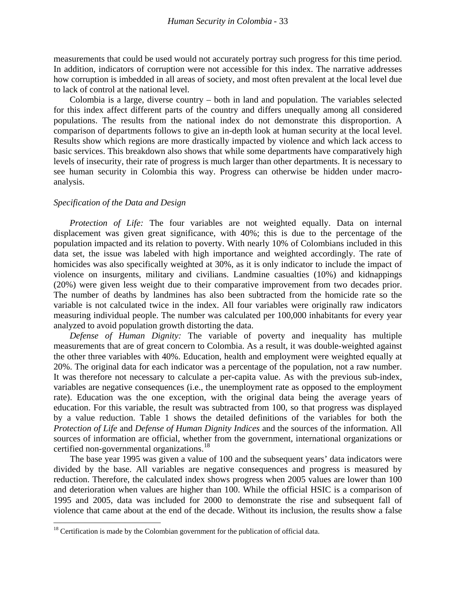measurements that could be used would not accurately portray such progress for this time period. In addition, indicators of corruption were not accessible for this index. The narrative addresses how corruption is imbedded in all areas of society, and most often prevalent at the local level due to lack of control at the national level.

Colombia is a large, diverse country – both in land and population. The variables selected for this index affect different parts of the country and differs unequally among all considered populations. The results from the national index do not demonstrate this disproportion. A comparison of departments follows to give an in-depth look at human security at the local level. Results show which regions are more drastically impacted by violence and which lack access to basic services. This breakdown also shows that while some departments have comparatively high levels of insecurity, their rate of progress is much larger than other departments. It is necessary to see human security in Colombia this way. Progress can otherwise be hidden under macroanalysis.

#### *Specification of the Data and Design*

 $\overline{\phantom{0}}$ 

*Protection of Life:* The four variables are not weighted equally. Data on internal displacement was given great significance, with 40%; this is due to the percentage of the population impacted and its relation to poverty. With nearly 10% of Colombians included in this data set, the issue was labeled with high importance and weighted accordingly. The rate of homicides was also specifically weighted at 30%, as it is only indicator to include the impact of violence on insurgents, military and civilians. Landmine casualties (10%) and kidnappings (20%) were given less weight due to their comparative improvement from two decades prior. The number of deaths by landmines has also been subtracted from the homicide rate so the variable is not calculated twice in the index. All four variables were originally raw indicators measuring individual people. The number was calculated per 100,000 inhabitants for every year analyzed to avoid population growth distorting the data.

*Defense of Human Dignity:* The variable of poverty and inequality has multiple measurements that are of great concern to Colombia. As a result, it was double-weighted against the other three variables with 40%. Education, health and employment were weighted equally at 20%. The original data for each indicator was a percentage of the population, not a raw number. It was therefore not necessary to calculate a per-capita value. As with the previous sub-index, variables are negative consequences (i.e., the unemployment rate as opposed to the employment rate). Education was the one exception, with the original data being the average years of education. For this variable, the result was subtracted from 100, so that progress was displayed by a value reduction. Table 1 shows the detailed definitions of the variables for both the *Protection of Life* and *Defense of Human Dignity Indices* and the sources of the information. All sources of information are official, whether from the government, international organizations or certified non-governmental organizations.<sup>[18](#page-9-0)</sup>

The base year 1995 was given a value of 100 and the subsequent years' data indicators were divided by the base. All variables are negative consequences and progress is measured by reduction. Therefore, the calculated index shows progress when 2005 values are lower than 100 and deterioration when values are higher than 100. While the official HSIC is a comparison of 1995 and 2005, data was included for 2000 to demonstrate the rise and subsequent fall of violence that came about at the end of the decade. Without its inclusion, the results show a false

<span id="page-9-0"></span><sup>&</sup>lt;sup>18</sup> Certification is made by the Colombian government for the publication of official data.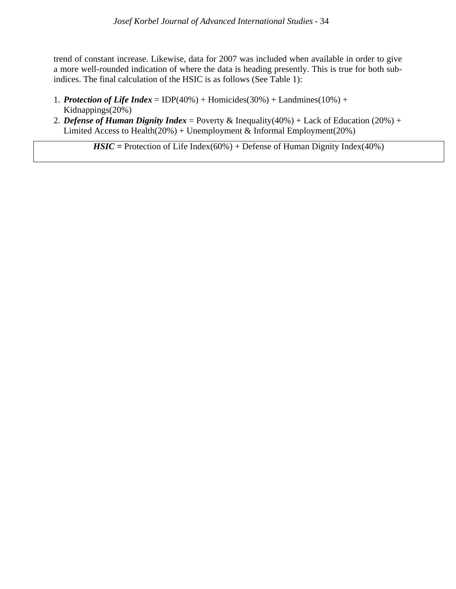trend of constant increase. Likewise, data for 2007 was included when available in order to give a more well-rounded indication of where the data is heading presently. This is true for both subindices. The final calculation of the HSIC is as follows (See Table 1):

- 1. *Protection of Life Index* = IDP(40%) + Homicides(30%) + Landmines(10%) + Kidnappings(20%)
- 2. *Defense of Human Dignity Index* = Poverty & Inequality(40%) + Lack of Education (20%) + Limited Access to Health $(20%)$  + Unemployment & Informal Employment $(20%)$

*HSIC* = Protection of Life Index(60%) + Defense of Human Dignity Index(40%)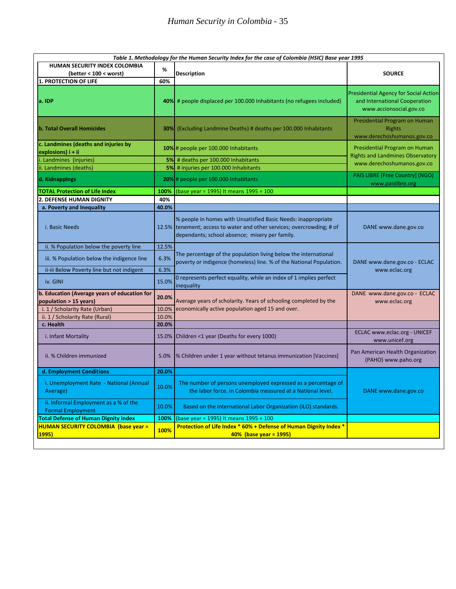|                                                                        |       | Table 1. Methodology for the Human Security Index for the case of Colombia (HSIC) Base year 1995                                                                                          |                                                                                                          |
|------------------------------------------------------------------------|-------|-------------------------------------------------------------------------------------------------------------------------------------------------------------------------------------------|----------------------------------------------------------------------------------------------------------|
| HUMAN SECURITY INDEX COLOMBIA                                          | %     |                                                                                                                                                                                           |                                                                                                          |
| (better < 100 < worst)                                                 |       | <b>Description</b>                                                                                                                                                                        | <b>SOURCE</b>                                                                                            |
| <b>1. PROTECTION OF LIFE</b>                                           | 60%   |                                                                                                                                                                                           |                                                                                                          |
| a. IDP                                                                 |       | 40% # people displaced per 100.000 Inhabitants (no refugees included)                                                                                                                     | <b>Presidential Agency for Social Action</b><br>and International Cooperation<br>www.accionsocial.gov.co |
| b. Total Overall Homicides                                             |       | <b>30%</b> (Excluding Landmine Deaths) # deaths per 100.000 Inhabitants                                                                                                                   | Presidential Program on Human<br><b>Rights</b><br>www.derechoshumanos.gov.co                             |
| c. Landmines (deaths and injuries by<br>explosions) $i + ii$           |       | 10% # people per 100.000 Inhabitants                                                                                                                                                      | Presidential Program on Human<br><b>Rights and Landmines Observatory</b>                                 |
| . Landmines (injuries)                                                 |       | 5% # deaths per 100.000 Inhabitants                                                                                                                                                       | www.derechoshumanos.gov.co                                                                               |
| ii. Landmines (deaths)                                                 |       | 5% # injuries per 100.000 Inhabitants                                                                                                                                                     |                                                                                                          |
| d. Kidnappings                                                         |       | 20% # people per 100.000 Inhabitants                                                                                                                                                      | PAIS LIBRE [Free Country] (NGO)<br>www.paislibre.org                                                     |
| <b>TOTAL Protection of Life Index</b>                                  | 100%  | (base year = 1995) It means 1995 = 100                                                                                                                                                    |                                                                                                          |
| <b>2. DEFENSE HUMAN DIGNITY</b>                                        | 40%   |                                                                                                                                                                                           |                                                                                                          |
| a. Poverty and Inequality                                              | 40.0% |                                                                                                                                                                                           |                                                                                                          |
| i. Basic Needs                                                         |       | % people in homes with Unsatisfied Basic Needs: inappropriate<br>12.5% tenement; access to water and other services; overcrowding; # of<br>dependants; school absence; misery per family. | DANE www.dane.gov.co                                                                                     |
| ii. % Population below the poverty line                                | 12.5% |                                                                                                                                                                                           |                                                                                                          |
| iii. % Population below the indigence line                             | 6.3%  | The percentage of the population living below the international<br>poverty or indigence (homeless) line. % of the National Population.                                                    | DANE www.dane.gov.co - ECLAC                                                                             |
| ii-iii Below Poverty line but not indigent                             | 6.3%  |                                                                                                                                                                                           | www.eclac.org                                                                                            |
| iv. GINI                                                               | 15.0% | 0 represents perfect equality, while an index of 1 implies perfect<br>inequality                                                                                                          |                                                                                                          |
| b. Education (Average years of education for<br>population > 15 years) | 20.0% | Average years of scholarity. Years of schooling completed by the                                                                                                                          | DANE www.dane.gov.co - ECLAC<br>www.eclac.org                                                            |
| i. 1 / Scholarity Rate (Urban)                                         | 10.0% | economically active population aged 15 and over.                                                                                                                                          |                                                                                                          |
| ii. 1 / Scholarity Rate (Rural)                                        | 10.0% |                                                                                                                                                                                           |                                                                                                          |
| c. Health                                                              | 20.0% |                                                                                                                                                                                           |                                                                                                          |
| i. Infant Mortality                                                    | 15.0% | Children <1 year (Deaths for every 1000)                                                                                                                                                  | ECLAC www.eclac.org - UNICEF<br>www.unicef.org                                                           |
| ii. % Children immunized                                               | 5.0%  | % Children under 1 year without tetanus immunization [Vaccines]                                                                                                                           | Pan American Health Organization<br>(PAHO) www.paho.org                                                  |
| d. Employment Conditions                                               | 20.0% |                                                                                                                                                                                           |                                                                                                          |
| i. Unemployment Rate - National (Annual<br>Average)                    | 10.0% | The number of persons unemployed expressed as a percentage of<br>the labor force. In Colombia measured at a National level.                                                               | DANE www.dane.gov.co                                                                                     |
| ii. Informal Employment as a % of the<br><b>Formal Employment</b>      | 10.0% | Based on the International Labor Organization (ILO) standards.                                                                                                                            |                                                                                                          |
| <b>Total Defense of Human Dignity Index</b>                            | 100%  | (base year = 1995) It means 1995 = 100                                                                                                                                                    |                                                                                                          |
| <b>HUMAN SECURITY COLOMBIA (base year =</b><br><b>1995)</b>            | 100%  | Protection of Life Index * 60% + Defense of Human Dignity Index *<br>40% (base year = 1995)                                                                                               |                                                                                                          |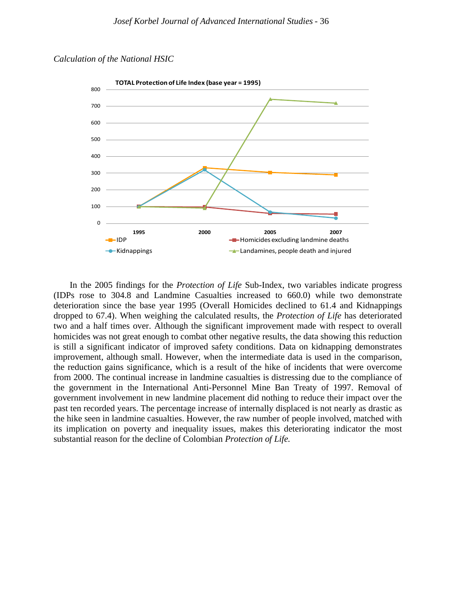



In the 2005 findings for the *Protection of Life* Sub-Index, two variables indicate progress (IDPs rose to 304.8 and Landmine Casualties increased to 660.0) while two demonstrate deterioration since the base year 1995 (Overall Homicides declined to 61.4 and Kidnappings dropped to 67.4). When weighing the calculated results, the *Protection of Life* has deteriorated two and a half times over. Although the significant improvement made with respect to overall homicides was not great enough to combat other negative results, the data showing this reduction is still a significant indicator of improved safety conditions. Data on kidnapping demonstrates improvement, although small. However, when the intermediate data is used in the comparison, the reduction gains significance, which is a result of the hike of incidents that were overcome from 2000. The continual increase in landmine casualties is distressing due to the compliance of the government in the International Anti-Personnel Mine Ban Treaty of 1997. Removal of government involvement in new landmine placement did nothing to reduce their impact over the past ten recorded years. The percentage increase of internally displaced is not nearly as drastic as the hike seen in landmine casualties. However, the raw number of people involved, matched with its implication on poverty and inequality issues, makes this deteriorating indicator the most substantial reason for the decline of Colombian *Protection of Life.*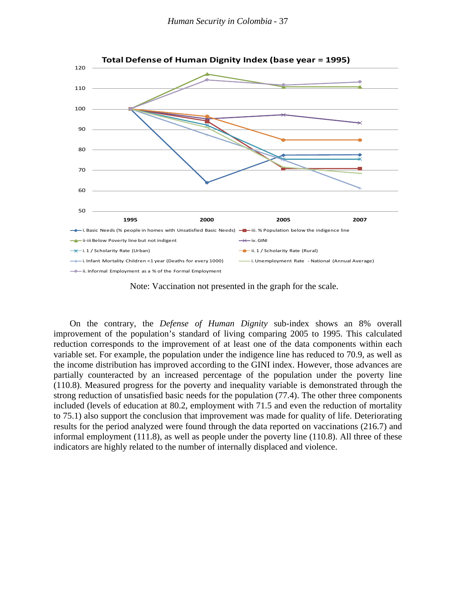

Note: Vaccination not presented in the graph for the scale.

On the contrary, the *Defense of Human Dignity* sub-index shows an 8% overall improvement of the population's standard of living comparing 2005 to 1995. This calculated reduction corresponds to the improvement of at least one of the data components within each variable set. For example, the population under the indigence line has reduced to 70.9, as well as the income distribution has improved according to the GINI index. However, those advances are partially counteracted by an increased percentage of the population under the poverty line (110.8). Measured progress for the poverty and inequality variable is demonstrated through the strong reduction of unsatisfied basic needs for the population (77.4). The other three components included (levels of education at 80.2, employment with 71.5 and even the reduction of mortality to 75.1) also support the conclusion that improvement was made for quality of life. Deteriorating results for the period analyzed were found through the data reported on vaccinations (216.7) and informal employment (111.8), as well as people under the poverty line (110.8). All three of these indicators are highly related to the number of internally displaced and violence.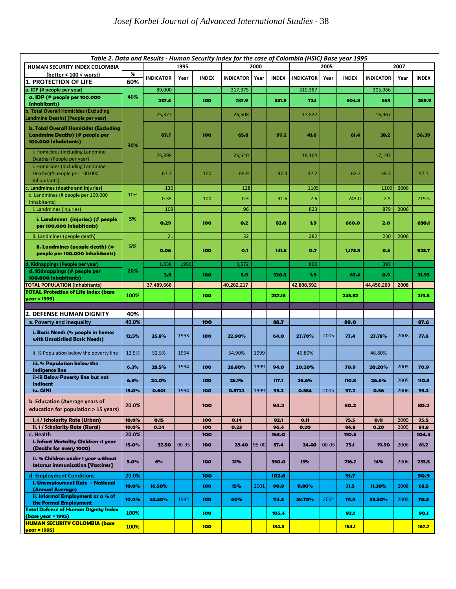|                                                                                                               |                | Table 2. Data and Results - Human Security Index for the case of Colombia (HSIC) Base year 1995 |       |              |                  |       |               |                  |           |               |                  |      |               |
|---------------------------------------------------------------------------------------------------------------|----------------|-------------------------------------------------------------------------------------------------|-------|--------------|------------------|-------|---------------|------------------|-----------|---------------|------------------|------|---------------|
| HUMAN SECURITY INDEX COLOMBIA                                                                                 |                |                                                                                                 | 1995  |              |                  | 2000  |               |                  | 2005      |               | 2007             |      |               |
| (better < 100 < worst)                                                                                        | %<br>60%       | <b>INDICATOR</b>                                                                                | Year  | <b>INDEX</b> | <b>INDICATOR</b> | Year  | <b>INDEX</b>  | <b>INDICATOR</b> | Year      | <b>INDEX</b>  | <b>INDICATOR</b> | Year | <b>INDEX</b>  |
| <b>1. PROTECTION OF LIFE</b><br>a. IDP (# people per year)                                                    |                | 89,000                                                                                          |       |              | 317,375          |       |               | 310,387          |           |               | 305,966          |      |               |
| a. IDP (# people per 100.000<br><b>Inhabitants</b> )                                                          | 40%            | 237.4                                                                                           |       | 100          | 787.9            |       | 331.9         | 724              |           | 304.8         | 688              |      | 289.9         |
| b. Total Overall Homicides (Excluding<br>Landmine Deaths) (People per year)                                   |                | 25,377                                                                                          |       |              | 26,508           |       |               | 17,822           |           |               | 16,967           |      |               |
| <b>b. Total Overall Homicides (Excluding</b><br><b>Landmine Deaths)</b> (# people per<br>100.000 Inhabitants) | 30%            | 67.7                                                                                            |       | 100          | 65.8             |       | 97.2          | 41.6             |           | 61.4          | 38.2             |      | 56.39         |
| i. Homicides (Including Landmine<br>Deaths) (People per year)                                                 |                | 25,398                                                                                          |       |              | 26,540           |       |               | 18,104           |           |               | 17,197           |      |               |
| i. Homicides (Including Landmine<br>Deaths)(# people per 100.000<br>Inhabitants)                              |                | 67.7                                                                                            |       | 100          | 65.9             |       | 97.3          | 42.2             |           | 62.3          | 38.7             |      | 57.1          |
| Landmines (deaths and injuries)                                                                               |                | 130                                                                                             |       |              | 128              |       |               | 1105             |           |               | 1109             | 2006 |               |
| c. Landmines (# people per 100.000<br>Inhabitants)                                                            | 10%            | 0.35                                                                                            |       | 100          | 0.3              |       | 91.6          | 2.6              |           | 743.0         | 2.5              |      | 719.5         |
| i. Landmines (injuries)                                                                                       |                | 109                                                                                             |       |              | 96               |       |               | 823              |           |               | 879              | 2006 |               |
| <i>i.</i> Landmines (injuries) (# people<br>per 100.000 Inhabitants)                                          | 5%             | 0.29                                                                                            |       | 100          | 0.2              |       | 82.0          | 1,9              |           | 660.0         | 2.0              |      | 680.1         |
| ii. Landmines (people death)                                                                                  |                | 21                                                                                              |       |              | 32               |       |               | 282              |           |               | 230              | 2006 |               |
| ii. Landmines (people death) $($ $#$<br>people per 100.000 Inhabitants)                                       | 5%             | 0.06                                                                                            |       | 100          | O.1              |       | 141.8         | 0.7              |           | 1,173.8       | 0.5              |      | 923.7         |
| d. Kidnappings (People per year)                                                                              |                | 1,038                                                                                           | 1996  |              | 3,572            |       |               | 800              |           |               | 393              |      |               |
| d. Kidnappings (# people per                                                                                  | 20%            | 2.8                                                                                             |       | 100          | 8.9              |       | 320.3         | 1.9              |           | 67.4          | O.9              |      | 31.93         |
| 100.000 Inhabitants)<br><b>TOTAL POPULATION (Inhabitants)</b>                                                 |                | 37,489,666                                                                                      |       |              | 40,282,217       |       |               | 42,888,592       |           |               | 44,450,260       | 2008 |               |
| <b>TOTAL Protection of Life Index (base</b>                                                                   | 100%           |                                                                                                 |       | 100          |                  |       | 237.16        |                  |           | 245.52        |                  |      | 219.5         |
| year = 1995)                                                                                                  |                |                                                                                                 |       |              |                  |       |               |                  |           |               |                  |      |               |
| 2. DEFENSE HUMAN DIGNITY                                                                                      | 40%            |                                                                                                 |       |              |                  |       |               |                  |           |               |                  |      |               |
| a. Poverty and Inequality                                                                                     | 40.0%          |                                                                                                 |       | 100          |                  |       | 88.7          |                  |           | 89.0          |                  |      | 87.6          |
| i. Basic Needs (% people in homes<br>with Unsatisfied Basic Needs)                                            | 12.5%          | 35.8%                                                                                           | 1993  | 100          | 22.90%           |       | 64.0          | 27.70%           | 2005      | 77.4          | 27.78%           | 2008 | 77.6          |
| ii. % Population below the poverty line                                                                       | 12.5%          | 52.5%                                                                                           | 1994  |              | 54.90%           | 1999  |               | 46.80%           |           |               | 46.80%           |      |               |
| iii. % Population below the<br>indigence line                                                                 | 6.3%           | 28.5%                                                                                           | 1994  | 100          | 26.80%           | 1999  | 94.0          | 20.20%           |           | 70.9          | 20.20%           | 2005 | 70.9          |
| ii-iii Below Poverty line but not<br>indigent                                                                 | 6.3%           | 24.0%                                                                                           |       | 100          | 28.1%            |       | 117.1         | 26.6%            |           | 110.8         | 26.6%            | 2005 | 110.8         |
| iv. GINI                                                                                                      | 15.0%          | 0.601                                                                                           | 1994  | 100          | 0.5722           | 1999  | 95.2          | 0.584            | 2005      | 97.2          | 0.56             | 2006 | 93.2          |
| b. Education (Average years of<br>education for population > 15 years)                                        | 20.0%          |                                                                                                 |       | 100          |                  |       | 94.2          |                  |           | 80.2          |                  |      | 80.2          |
| i. 1 / Scholarity Rate (Urban)                                                                                | 10.0%          | 0.15                                                                                            |       | 100          | 0.14             |       | 92.1          | O.11             |           | 75.5          | 0.11             | 2005 | 75.5          |
| ii. 1 / Scholarity Rate (Rural)<br>c. Health                                                                  | 10.0%<br>20.0% | 0.24                                                                                            |       | 100<br>100   | 0.23             |       | 96.4<br>153.0 | 0.20             |           | 84.8<br>110.5 | 0.20             | 2005 | 84.8<br>104.3 |
| i. Infant Mortality Children <1 year<br>(Deaths for every 1000)                                               | 15.0%          | 32.50                                                                                           | 90-95 | 100          | 28.40            | 95-00 | 87.4          | 24.40            | $00 - 05$ | 75.1          | 19.90            | 2006 | 61.2          |
| ii. % Children under 1 year without<br>tetanus immunization [Vaccines]                                        | 5.0%           | 6%                                                                                              |       | 100          | 21%              |       | 350.0         | 13%              |           | 216.7         | 14%              | 2006 | 233.3         |
| d. Employment Conditions                                                                                      | 20.0%          |                                                                                                 |       | 100          |                  |       | 102.6         |                  |           | 91.7          |                  |      | 90.9          |
| i. Unemployment Rate - National<br>(Annual Average)                                                           | 10.0%          | 16.50%                                                                                          |       | 100          | 15%              | 2001  | 90.9          | 11.80%           |           | 71.5          | 11.30%           | 2008 | 68.5          |
| ii. Informal Employment as a % of<br>the Formal Employment                                                    | 10.0%          | 52.50%                                                                                          | 1994  | 100          | 60%              |       | 114.3         | 58.70%           | 2004      | 111.8         | 59.50%           | 2008 | 113.3         |
| <b>Total Defense of Human Dignity Index</b><br>(base year = 1995)                                             | 100%           |                                                                                                 |       | 100          |                  |       | 105.4         |                  |           | 92.1          |                  |      | 90.1          |
| <b>HUMAN SECURITY COLOMBIA (base</b><br>year = 1995)                                                          | 100%           |                                                                                                 |       | 100          |                  |       | 184.5         |                  |           | <b>184.1</b>  |                  |      | 167.7         |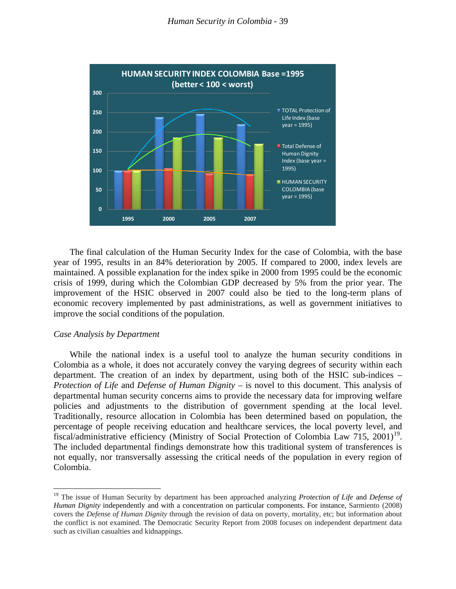

The final calculation of the Human Security Index for the case of Colombia, with the base year of 1995, results in an 84% deterioration by 2005. If compared to 2000, index levels are maintained. A possible explanation for the index spike in 2000 from 1995 could be the economic crisis of 1999, during which the Colombian GDP decreased by 5% from the prior year. The improvement of the HSIC observed in 2007 could also be tied to the long-term plans of economic recovery implemented by past administrations, as well as government initiatives to improve the social conditions of the population.

#### *Case Analysis by Department*

 $\overline{\phantom{0}}$ 

While the national index is a useful tool to analyze the human security conditions in Colombia as a whole, it does not accurately convey the varying degrees of security within each department. The creation of an index by department, using both of the HSIC sub-indices – *Protection of Life* and *Defense of Human Dignity* – is novel to this document. This analysis of departmental human security concerns aims to provide the necessary data for improving welfare policies and adjustments to the distribution of government spending at the local level. Traditionally, resource allocation in Colombia has been determined based on population, the percentage of people receiving education and healthcare services, the local poverty level, and fiscal/administrative efficiency (Ministry of Social Protection of Colombia Law 715, 2001)<sup>[19](#page-15-0)</sup>. The included departmental findings demonstrate how this traditional system of transferences is not equally, nor transversally assessing the critical needs of the population in every region of Colombia.

<span id="page-15-0"></span><sup>19</sup> The issue of Human Security by department has been approached analyzing *Protection of Life* and *Defense of Human Dignity* independently and with a concentration on particular components. For instance, Sarmiento (2008) covers the *Defense of Human Dignity* through the revision of data on poverty, mortality, etc; but information about the conflict is not examined. The Democratic Security Report from 2008 focuses on independent department data such as civilian casualties and kidnappings.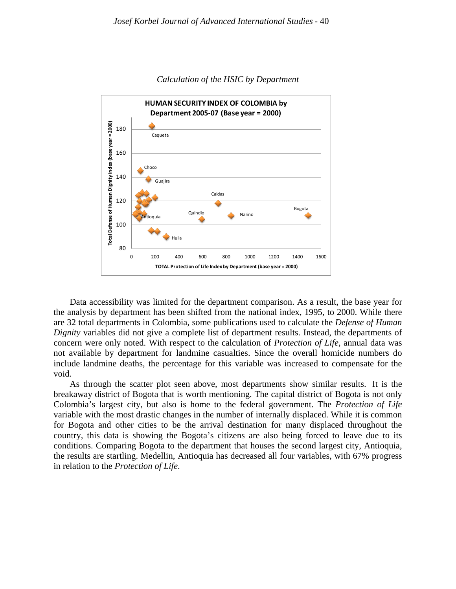

#### *Calculation of the HSIC by Department*

Data accessibility was limited for the department comparison. As a result, the base year for the analysis by department has been shifted from the national index, 1995, to 2000. While there are 32 total departments in Colombia, some publications used to calculate the *Defense of Human Dignity* variables did not give a complete list of department results. Instead, the departments of concern were only noted. With respect to the calculation of *Protection of Life*, annual data was not available by department for landmine casualties. Since the overall homicide numbers do include landmine deaths, the percentage for this variable was increased to compensate for the void.

As through the scatter plot seen above, most departments show similar results. It is the breakaway district of Bogota that is worth mentioning. The capital district of Bogota is not only Colombia's largest city, but also is home to the federal government. The *Protection of Life* variable with the most drastic changes in the number of internally displaced. While it is common for Bogota and other cities to be the arrival destination for many displaced throughout the country, this data is showing the Bogota's citizens are also being forced to leave due to its conditions. Comparing Bogota to the department that houses the second largest city, Antioquia, the results are startling. Medellin, Antioquia has decreased all four variables, with 67% progress in relation to the *Protection of Life*.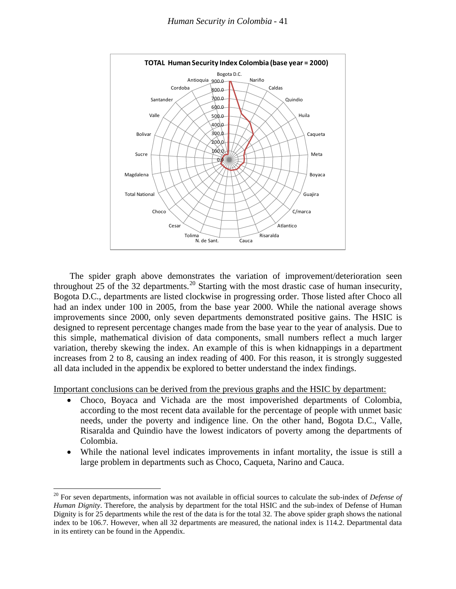

The spider graph above demonstrates the variation of improvement/deterioration seen throughout 25 of the 32 departments.[20](#page-17-0) Starting with the most drastic case of human insecurity, Bogota D.C., departments are listed clockwise in progressing order. Those listed after Choco all had an index under 100 in 2005, from the base year 2000. While the national average shows improvements since 2000, only seven departments demonstrated positive gains. The HSIC is designed to represent percentage changes made from the base year to the year of analysis. Due to this simple, mathematical division of data components, small numbers reflect a much larger variation, thereby skewing the index. An example of this is when kidnappings in a department increases from 2 to 8, causing an index reading of 400. For this reason, it is strongly suggested all data included in the appendix be explored to better understand the index findings.

Important conclusions can be derived from the previous graphs and the HSIC by department:

- Choco, Boyaca and Vichada are the most impoverished departments of Colombia, according to the most recent data available for the percentage of people with unmet basic needs, under the poverty and indigence line. On the other hand, Bogota D.C., Valle, Risaralda and Quindio have the lowest indicators of poverty among the departments of Colombia.
- While the national level indicates improvements in infant mortality, the issue is still a large problem in departments such as Choco, Caqueta, Narino and Cauca.

 $\overline{\phantom{0}}$ 

<span id="page-17-0"></span><sup>20</sup> For seven departments, information was not available in official sources to calculate the sub-index of *Defense of Human Dignity*. Therefore, the analysis by department for the total HSIC and the sub-index of Defense of Human Dignity is for 25 departments while the rest of the data is for the total 32. The above spider graph shows the national index to be 106.7. However, when all 32 departments are measured, the national index is 114.2. Departmental data in its entirety can be found in the Appendix.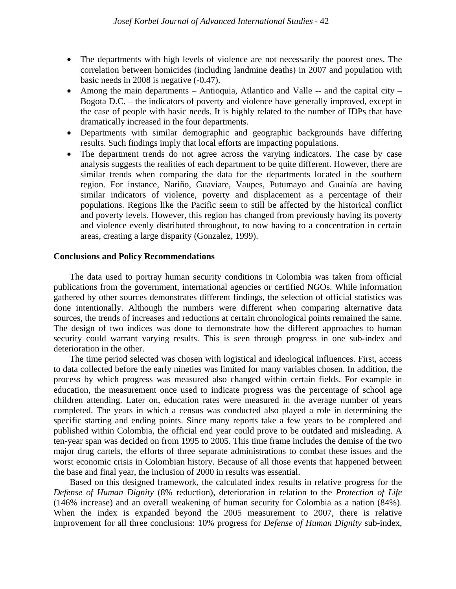- The departments with high levels of violence are not necessarily the poorest ones. The correlation between homicides (including landmine deaths) in 2007 and population with basic needs in 2008 is negative (-0.47).
- Among the main departments Antioquia, Atlantico and Valle -- and the capital city Bogota D.C. – the indicators of poverty and violence have generally improved, except in the case of people with basic needs. It is highly related to the number of IDPs that have dramatically increased in the four departments.
- Departments with similar demographic and geographic backgrounds have differing results. Such findings imply that local efforts are impacting populations.
- The department trends do not agree across the varying indicators. The case by case analysis suggests the realities of each department to be quite different. However, there are similar trends when comparing the data for the departments located in the southern region. For instance, Nariño, Guaviare, Vaupes, Putumayo and Guainía are having similar indicators of violence, poverty and displacement as a percentage of their populations. Regions like the Pacific seem to still be affected by the historical conflict and poverty levels. However, this region has changed from previously having its poverty and violence evenly distributed throughout, to now having to a concentration in certain areas, creating a large disparity (Gonzalez, 1999).

#### **Conclusions and Policy Recommendations**

The data used to portray human security conditions in Colombia was taken from official publications from the government, international agencies or certified NGOs. While information gathered by other sources demonstrates different findings, the selection of official statistics was done intentionally. Although the numbers were different when comparing alternative data sources, the trends of increases and reductions at certain chronological points remained the same. The design of two indices was done to demonstrate how the different approaches to human security could warrant varying results. This is seen through progress in one sub-index and deterioration in the other.

The time period selected was chosen with logistical and ideological influences. First, access to data collected before the early nineties was limited for many variables chosen. In addition, the process by which progress was measured also changed within certain fields. For example in education, the measurement once used to indicate progress was the percentage of school age children attending. Later on, education rates were measured in the average number of years completed. The years in which a census was conducted also played a role in determining the specific starting and ending points. Since many reports take a few years to be completed and published within Colombia, the official end year could prove to be outdated and misleading. A ten-year span was decided on from 1995 to 2005. This time frame includes the demise of the two major drug cartels, the efforts of three separate administrations to combat these issues and the worst economic crisis in Colombian history. Because of all those events that happened between the base and final year, the inclusion of 2000 in results was essential.

Based on this designed framework, the calculated index results in relative progress for the *Defense of Human Dignity* (8% reduction), deterioration in relation to the *Protection of Life* (146% increase) and an overall weakening of human security for Colombia as a nation (84%). When the index is expanded beyond the 2005 measurement to 2007, there is relative improvement for all three conclusions: 10% progress for *Defense of Human Dignity* sub-index,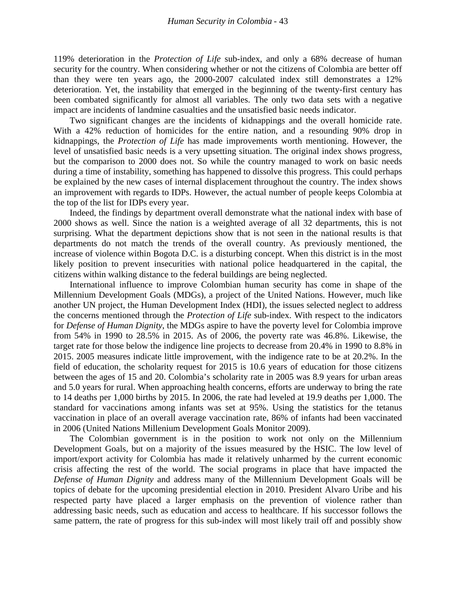119% deterioration in the *Protection of Life* sub-index, and only a 68% decrease of human security for the country. When considering whether or not the citizens of Colombia are better off than they were ten years ago, the 2000-2007 calculated index still demonstrates a 12% deterioration. Yet, the instability that emerged in the beginning of the twenty-first century has been combated significantly for almost all variables. The only two data sets with a negative impact are incidents of landmine casualties and the unsatisfied basic needs indicator.

Two significant changes are the incidents of kidnappings and the overall homicide rate. With a 42% reduction of homicides for the entire nation, and a resounding 90% drop in kidnappings, the *Protection of Life* has made improvements worth mentioning. However, the level of unsatisfied basic needs is a very upsetting situation. The original index shows progress, but the comparison to 2000 does not. So while the country managed to work on basic needs during a time of instability, something has happened to dissolve this progress. This could perhaps be explained by the new cases of internal displacement throughout the country. The index shows an improvement with regards to IDPs. However, the actual number of people keeps Colombia at the top of the list for IDPs every year.

Indeed, the findings by department overall demonstrate what the national index with base of 2000 shows as well. Since the nation is a weighted average of all 32 departments, this is not surprising. What the department depictions show that is not seen in the national results is that departments do not match the trends of the overall country. As previously mentioned, the increase of violence within Bogota D.C. is a disturbing concept. When this district is in the most likely position to prevent insecurities with national police headquartered in the capital, the citizens within walking distance to the federal buildings are being neglected.

International influence to improve Colombian human security has come in shape of the Millennium Development Goals (MDGs), a project of the United Nations. However, much like another UN project, the Human Development Index (HDI), the issues selected neglect to address the concerns mentioned through the *Protection of Life* sub-index. With respect to the indicators for *Defense of Human Dignity*, the MDGs aspire to have the poverty level for Colombia improve from 54% in 1990 to 28.5% in 2015. As of 2006, the poverty rate was 46.8%. Likewise, the target rate for those below the indigence line projects to decrease from 20.4% in 1990 to 8.8% in 2015. 2005 measures indicate little improvement, with the indigence rate to be at 20.2%. In the field of education, the scholarity request for 2015 is 10.6 years of education for those citizens between the ages of 15 and 20. Colombia's scholarity rate in 2005 was 8.9 years for urban areas and 5.0 years for rural. When approaching health concerns, efforts are underway to bring the rate to 14 deaths per 1,000 births by 2015. In 2006, the rate had leveled at 19.9 deaths per 1,000. The standard for vaccinations among infants was set at 95%. Using the statistics for the tetanus vaccination in place of an overall average vaccination rate, 86% of infants had been vaccinated in 2006 (United Nations Millenium Development Goals Monitor 2009).

The Colombian government is in the position to work not only on the Millennium Development Goals, but on a majority of the issues measured by the HSIC. The low level of import/export activity for Colombia has made it relatively unharmed by the current economic crisis affecting the rest of the world. The social programs in place that have impacted the *Defense of Human Dignity* and address many of the Millennium Development Goals will be topics of debate for the upcoming presidential election in 2010. President Alvaro Uribe and his respected party have placed a larger emphasis on the prevention of violence rather than addressing basic needs, such as education and access to healthcare. If his successor follows the same pattern, the rate of progress for this sub-index will most likely trail off and possibly show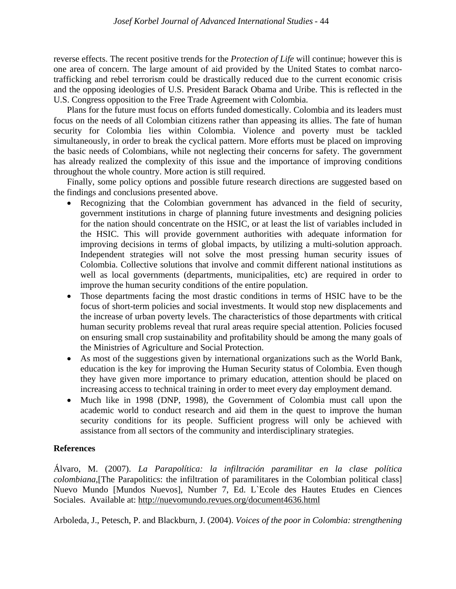reverse effects. The recent positive trends for the *Protection of Life* will continue; however this is one area of concern. The large amount of aid provided by the United States to combat narcotrafficking and rebel terrorism could be drastically reduced due to the current economic crisis and the opposing ideologies of U.S. President Barack Obama and Uribe. This is reflected in the U.S. Congress opposition to the Free Trade Agreement with Colombia.

Plans for the future must focus on efforts funded domestically. Colombia and its leaders must focus on the needs of all Colombian citizens rather than appeasing its allies. The fate of human security for Colombia lies within Colombia. Violence and poverty must be tackled simultaneously, in order to break the cyclical pattern. More efforts must be placed on improving the basic needs of Colombians, while not neglecting their concerns for safety. The government has already realized the complexity of this issue and the importance of improving conditions throughout the whole country. More action is still required.

Finally, some policy options and possible future research directions are suggested based on the findings and conclusions presented above.

- Recognizing that the Colombian government has advanced in the field of security, government institutions in charge of planning future investments and designing policies for the nation should concentrate on the HSIC, or at least the list of variables included in the HSIC. This will provide government authorities with adequate information for improving decisions in terms of global impacts, by utilizing a multi-solution approach. Independent strategies will not solve the most pressing human security issues of Colombia. Collective solutions that involve and commit different national institutions as well as local governments (departments, municipalities, etc) are required in order to improve the human security conditions of the entire population.
- Those departments facing the most drastic conditions in terms of HSIC have to be the focus of short-term policies and social investments. It would stop new displacements and the increase of urban poverty levels. The characteristics of those departments with critical human security problems reveal that rural areas require special attention. Policies focused on ensuring small crop sustainability and profitability should be among the many goals of the Ministries of Agriculture and Social Protection.
- As most of the suggestions given by international organizations such as the World Bank, education is the key for improving the Human Security status of Colombia. Even though they have given more importance to primary education, attention should be placed on increasing access to technical training in order to meet every day employment demand.
- Much like in 1998 (DNP, 1998), the Government of Colombia must call upon the academic world to conduct research and aid them in the quest to improve the human security conditions for its people. Sufficient progress will only be achieved with assistance from all sectors of the community and interdisciplinary strategies.

## **References**

Álvaro, M. (2007). *La Parapolítica: la infiltración paramilitar en la clase política colombiana*,[The Parapolitics: the infiltration of paramilitares in the Colombian political class] Nuevo Mundo [Mundos Nuevos], Number 7, Ed. L`Ecole des Hautes Etudes en Ciences Sociales. Available at: <http://nuevomundo.revues.org/document4636.html>

Arboleda, J., Petesch, P. and Blackburn, J. (2004). *Voices of the poor in Colombia: strengthening*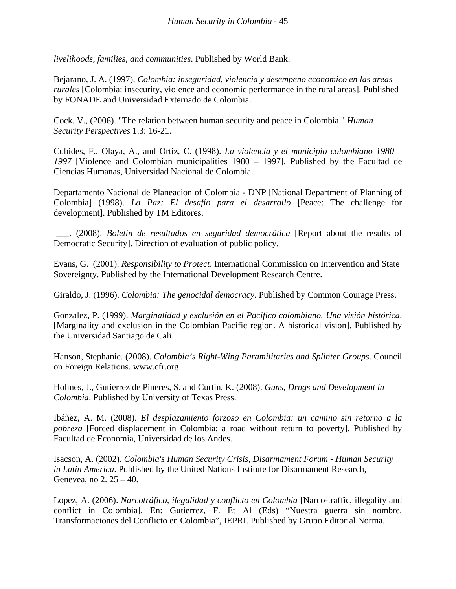*livelihoods, families, and communities*. Published by World Bank.

Bejarano, J. A. (1997). *Colombia: inseguridad, violencia y desempeno economico en las areas rurales* [Colombia: insecurity, violence and economic performance in the rural areas]. Published by FONADE and Universidad Externado de Colombia.

Cock, V., (2006). "The relation between human security and peace in Colombia." *Human Security Perspectives* 1.3: 16-21.

Cubides, F., Olaya, A., and Ortiz, C. (1998). *La violencia y el municipio colombiano 1980 – 1997* [Violence and Colombian municipalities 1980 – 1997]. Published by the Facultad de Ciencias Humanas, Universidad Nacional de Colombia.

Departamento Nacional de Planeacion of Colombia - DNP [National Department of Planning of Colombia] (1998). *La Paz: El desafío para el desarrollo* [Peace: The challenge for development]. Published by TM Editores.

\_\_\_. (2008). *Boletín de resultados en seguridad democrática* [Report about the results of Democratic Security]. Direction of evaluation of public policy.

Evans, G. (2001). *Responsibility to Protect*. International Commission on Intervention and State Sovereignty. Published by the International Development Research Centre.

Giraldo, J. (1996). *Colombia: The genocidal democracy*. Published by Common Courage Press.

Gonzalez, P. (1999). *Marginalidad y exclusión en el Pacifico colombiano. Una visión histórica*. [Marginality and exclusion in the Colombian Pacific region. A historical vision]. Published by the Universidad Santiago de Cali.

Hanson, Stephanie. (2008). *Colombia's Right-Wing Paramilitaries and Splinter Groups*. Council on Foreign Relations. [www.cfr.org](http://www.cfr.org/)

Holmes, J., Gutierrez de Pineres, S. and Curtin, K. (2008). *Guns, Drugs and Development in Colombia*. Published by University of Texas Press.

Ibáñez, A. M. (2008). *El desplazamiento forzoso en Colombia: un camino sin retorno a la pobreza* [Forced displacement in Colombia: a road without return to poverty]. Published by Facultad de Economia, Universidad de los Andes.

Isacson, A. (2002). *Colombia's Human Security Crisis, Disarmament Forum - Human Security in Latin America*. Published by the United Nations Institute for Disarmament Research, Genevea, no 2. 25 – 40.

Lopez, A. (2006). *Narcotráfico, ilegalidad y conflicto en Colombia* [Narco-traffic, illegality and conflict in Colombia]. En: Gutierrez, F. Et Al (Eds) "Nuestra guerra sin nombre. Transformaciones del Conflicto en Colombia", IEPRI. Published by Grupo Editorial Norma.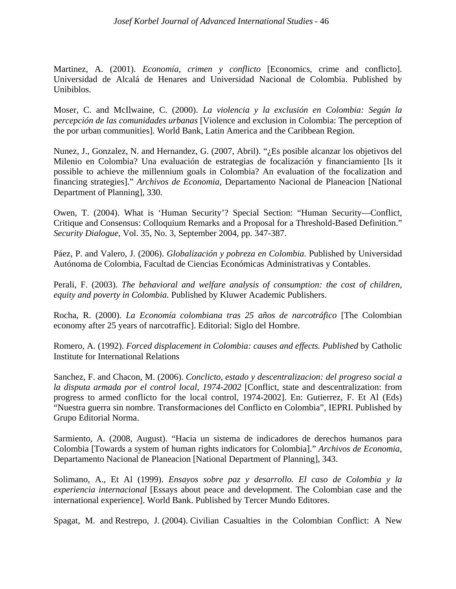## *Josef Korbel Journal of Advanced International Studies* - 46

Martinez, A. (2001). *Economía, crimen y conflicto* [Economics, crime and conflicto]. Universidad de Alcalá de Henares and Universidad Nacional de Colombia. Published by Unibiblos.

Moser, C. and McIlwaine, C. (2000). *La violencia y la exclusión en Colombia: Según la percepción de las comunidades urbanas* [Violence and exclusion in Colombia: The perception of the por urban communities]. World Bank, Latin America and the Caribbean Region.

Nunez, J., Gonzalez, N. and Hernandez, G. (2007, Abril). "¿Es posible alcanzar los objetivos del Milenio en Colombia? Una evaluación de estrategias de focalización y financiamiento [Is it possible to achieve the millennium goals in Colombia? An evaluation of the focalization and financing strategies]." *Archivos de Economia,* Departamento Nacional de Planeacion [National Department of Planning], 330.

Owen, T. (2004). What is 'Human Security'? Special Section: "Human Security—Conflict, Critique and Consensus: Colloquium Remarks and a Proposal for a Threshold-Based Definition." *Security Dialogue*, Vol. 35, No. 3, September 2004, pp. 347-387.

Páez, P. and Valero, J. (2006). *Globalización y pobreza en Colombia.* Published by Universidad Autónoma de Colombia, Facultad de Ciencias Económicas Administrativas y Contables.

Perali, F. (2003). *The behavioral and welfare analysis of consumption: the cost of children, equity and poverty in Colombia.* Published by Kluwer Academic Publishers.

Rocha, R. (2000). *La Economía colombiana tras 25 años de narcotráfico* [The Colombian economy after 25 years of narcotraffic]. Editorial: Siglo del Hombre.

Romero, A. (1992). *Forced displacement in Colombia: causes and effects. Published* by Catholic Institute for International Relations

Sanchez, F. and Chacon, M. (2006). *Conclicto, estado y descentralizacion: del progreso social a la disputa armada por el control local, 1974-2002* [Conflict, state and descentralization: from progress to armed conflicto for the local control, 1974-2002]. En: Gutierrez, F. Et Al (Eds) "Nuestra guerra sin nombre. Transformaciones del Conflicto en Colombia", IEPRI. Published by Grupo Editorial Norma.

Sarmiento, A. (2008, August). "Hacia un sistema de indicadores de derechos humanos para Colombia [Towards a system of human rights indicators for Colombia]." *Archivos de Economia,* Departamento Nacional de Planeacion [National Department of Planning], 343.

Solimano, A., Et Al (1999). *Ensayos sobre paz y desarrollo. El caso de Colombia y la experiencia internacional* [Essays about peace and development. The Colombian case and the international experience]. World Bank. Published by Tercer Mundo Editores.

Spagat, M. and Restrepo, J. (2004). Civilian Casualties in the Colombian Conflict: A New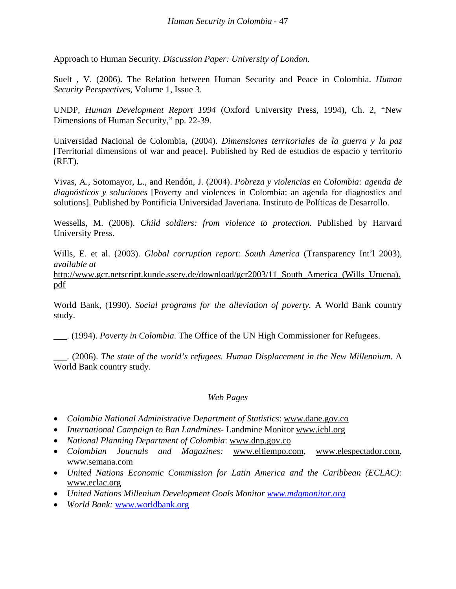Approach to Human Security. *Discussion Paper: University of London*.

Suelt , V. (2006). The Relation between Human Security and Peace in Colombia. *Human Security Perspectives,* Volume 1, Issue 3.

UNDP, *Human Development Report 1994* (Oxford University Press, 1994), Ch. 2, "New Dimensions of Human Security," pp. 22-39.

Universidad Nacional de Colombia, (2004). *Dimensiones territoriales de la guerra y la paz* [Territorial dimensions of war and peace]. Published by Red de estudios de espacio y territorio (RET).

Vivas, A., Sotomayor, L., and Rendón, J. (2004). *Pobreza y violencias en Colombia: agenda de diagnósticos y soluciones* [Poverty and violences in Colombia: an agenda for diagnostics and solutions]. Published by Pontificia Universidad Javeriana. Instituto de Políticas de Desarrollo.

Wessells, M. (2006). *Child soldiers: from violence to protection*. Published by Harvard University Press.

Wills, E. et al. (2003). *Global corruption report: South America* (Transparency Int'l 2003), *available at*

[http://www.gcr.netscript.kunde.sserv.de/download/gcr2003/11\\_South\\_America\\_\(Wills\\_Uruena\).](http://www.gcr.netscript.kunde.sserv.de/download/gcr2003/11_South_America_(Wills_Uruena).pdf) [pdf](http://www.gcr.netscript.kunde.sserv.de/download/gcr2003/11_South_America_(Wills_Uruena).pdf)

World Bank, (1990). *Social programs for the alleviation of poverty.* A World Bank country study.

\_\_\_. (1994). *Poverty in Colombia.* The Office of the UN High Commissioner for Refugees.

\_\_\_. (2006). *The state of the world's refugees. Human Displacement in the New Millennium*. A World Bank country study.

## *Web Pages*

- *Colombia National Administrative Department of Statistics*: [www.dane.gov.co](http://www.dane.gov.co/)
- *International Campaign to Ban Landmines-* Landmine Monitor [www.icbl.org](http://www.icbl.org/)
- *National Planning Department of Colombia*: [www.dnp.gov.co](http://www.dnp.gov.co/)
- *Colombian Journals and Magazines:* [www.eltiempo.com,](http://www.eltiempo.com/) www.elespectador.com , www.semana.com
- *United Nations Economic Commission for Latin America and the Caribbean (ECLAC):* [www.eclac.org](http://www.eclac.org/)
- *United Nations Millenium Development Goals Monitor [www.mdgmonitor.org](http://www.mdgmonitor.org/)*
- *World Bank:* [www.worldbank.org](http://www.worldbank.org/)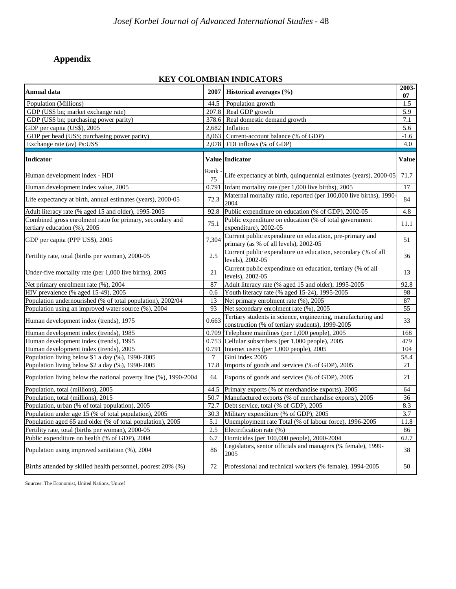# **Appendix**

## **KEY COLOMBIAN INDICATORS**

| Annual data                                                                               | 2007       | Historical averages (%)                                                                                          | 2003-<br>07      |
|-------------------------------------------------------------------------------------------|------------|------------------------------------------------------------------------------------------------------------------|------------------|
| Population (Millions)                                                                     | 44.5       | Population growth                                                                                                | 1.5              |
| GDP (US\$ bn; market exchange rate)                                                       |            | 207.8 Real GDP growth                                                                                            | 5.9              |
| GDP (US\$ bn; purchasing power parity)                                                    | 378.6      | Real domestic demand growth                                                                                      | $7.1\,$          |
| GDP per capita (US\$), 2005                                                               | 2,682      | Inflation                                                                                                        | 5.6              |
| GDP per head (US\$; purchasing power parity)                                              | 8,063      | Current-account balance (% of GDP)                                                                               | $-1.6$           |
| Exchange rate (av) Ps:US\$                                                                | 2,078      | FDI inflows (% of GDP)                                                                                           | 4.0              |
| <b>Indicator</b>                                                                          |            | Value Indicator                                                                                                  | Value            |
| Human development index - HDI                                                             | Rank<br>75 | Life expectancy at birth, quinquennial estimates (years), 2000-05                                                | 71.7             |
| Human development index value, 2005                                                       | 0.791      | Infant mortality rate (per 1,000 live births), 2005                                                              | 17               |
| Life expectancy at birth, annual estimates (years), 2000-05                               | 72.3       | Maternal mortality ratio, reported (per 100,000 live births), 1990-<br>2004                                      | 84               |
| Adult literacy rate (% aged 15 and older), 1995-2005                                      | 92.8       | Public expenditure on education (% of GDP), 2002-05                                                              | 4.8              |
| Combined gross enrolment ratio for primary, secondary and<br>tertiary education (%), 2005 | 75.1       | Public expenditure on education (% of total government<br>expenditure), 2002-05                                  | 11.1             |
| GDP per capita (PPP US\$), 2005                                                           | 7,304      | Current public expenditure on education, pre-primary and<br>primary (as % of all levels), 2002-05                | 51               |
| Fertility rate, total (births per woman), 2000-05                                         | 2.5        | Current public expenditure on education, secondary (% of all<br>levels), 2002-05                                 | 36               |
| Under-five mortality rate (per 1,000 live births), 2005                                   | 21         | Current public expenditure on education, tertiary (% of all<br>levels), 2002-05                                  | 13               |
| Net primary enrolment rate (%), 2004                                                      | 87         | Adult literacy rate (% aged 15 and older), 1995-2005                                                             | 92.8             |
| HIV prevalence (% aged 15-49), 2005                                                       | 0.6        | Youth literacy rate (% aged 15-24), 1995-2005                                                                    | 98               |
| Population undernourished (% of total population), 2002/04                                | 13         | Net primary enrolment rate (%), 2005                                                                             | 87               |
| Population using an improved water source (%), 2004                                       | 93         | Net secondary enrolment rate (%), 2005                                                                           | 55               |
| Human development index (trends), 1975                                                    | 0.663      | Tertiary students in science, engineering, manufacturing and<br>construction (% of tertiary students), 1999-2005 | 33               |
| Human development index (trends), 1985                                                    |            | $0.709$ Telephone mainlines (per 1,000 people), 2005                                                             | 168              |
| Human development index (trends), 1995                                                    |            | 0.753 Cellular subscribers (per 1,000 people), 2005                                                              | 479              |
| Human development index (trends), 2005                                                    | 0.791      | Internet users (per 1,000 people), 2005                                                                          | 104              |
| Population living below \$1 a day (%), 1990-2005                                          | 7          | Gini index 2005                                                                                                  | 58.4             |
| Population living below \$2 a day (%), 1990-2005                                          | 17.8       | Imports of goods and services (% of GDP), 2005                                                                   | 21               |
| Population living below the national poverty line (%), 1990-2004                          | 64         | Exports of goods and services (% of GDP), 2005                                                                   | 21               |
| Population, total (millions), 2005                                                        | 44.5       | Primary exports (% of merchandise exports), 2005                                                                 | 64               |
| Population, total (millions), 2015                                                        | 50.7       | Manufactured exports (% of merchandise exports), 2005                                                            | 36               |
| Population, urban (% of total population), 2005                                           | 72.7       | Debt service, total (% of GDP), 2005                                                                             | 8.3              |
| Population under age 15 (% of total population), 2005                                     |            | 30.3 Military expenditure (% of GDP), 2005                                                                       | $\overline{3.7}$ |
| Population aged 65 and older (% of total population), 2005                                | 5.1        | Unemployment rate Total (% of labour force), 1996-2005                                                           | 11.8             |
| Fertility rate, total (births per woman), 2000-05                                         | 2.5        | Electrification rate (%)                                                                                         | 86               |
| Public expenditure on health (% of GDP), 2004                                             | 6.7        | Homicides (per 100,000 people), 2000-2004                                                                        | 62.7             |
| Population using improved sanitation (%), 2004                                            | 86         | Legislators, senior officials and managers (% female), 1999-<br>2005                                             | 38               |
| Births attended by skilled health personnel, poorest 20% (%)                              | 72         | Professional and technical workers (% female), 1994-2005                                                         | 50               |

Sources: The Economist, United Nations, Unicef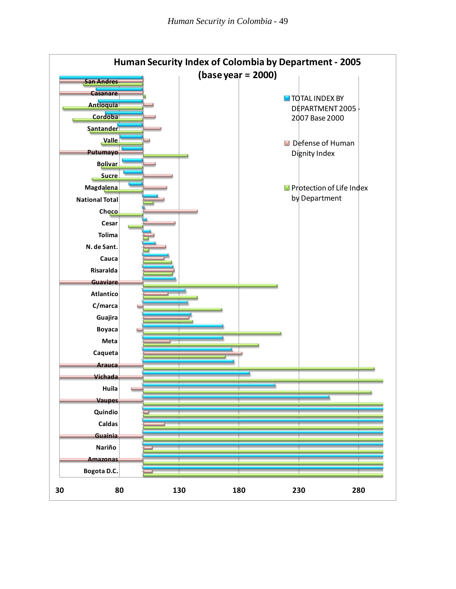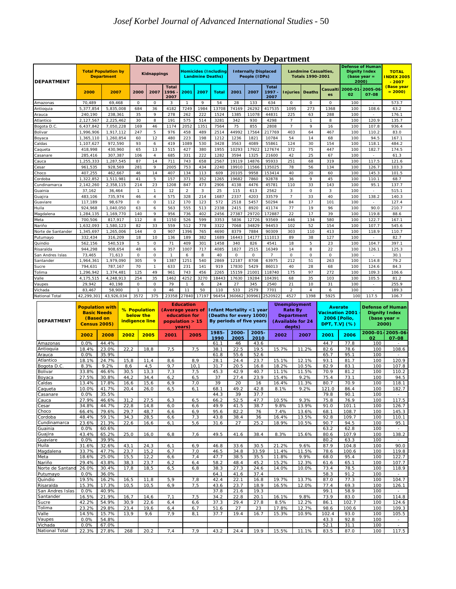|                    |                                                 |                |              |                                     |                              | $P$ and $P$ and $P$ are components by $P$ eparament |            |                                                        |              |               |                                              |                     |               |                                                        |                                                                            |                  |                                             |  |
|--------------------|-------------------------------------------------|----------------|--------------|-------------------------------------|------------------------------|-----------------------------------------------------|------------|--------------------------------------------------------|--------------|---------------|----------------------------------------------|---------------------|---------------|--------------------------------------------------------|----------------------------------------------------------------------------|------------------|---------------------------------------------|--|
| <b>DEPARTMENT</b>  | <b>Total Population by</b><br><b>Department</b> |                |              |                                     | Kidnappings                  |                                                     |            | <b>Homicides (Including</b><br><b>Landmine Deaths)</b> |              |               | <b>Internally Displaced</b><br>People (IDPs) |                     |               | <b>Landmine Casualties,</b><br><b>Totals 1990-2001</b> | <b>Defense of Human</b><br><b>Dignity Index</b><br>(base year $=$<br>2000) |                  | <b>TOTAL</b><br><b>NDEX 2005</b><br>$-2007$ |  |
|                    | 2000                                            | 2007           |              | 2007<br>2000                        | <b>Total</b><br>1996<br>2007 | 2001                                                | 2007       | <b>Total</b>                                           | 2001         | 2007          | <b>Total</b><br>1997<br>2007                 | <b>Injuries</b>     | <b>Deaths</b> | Casualti<br>es                                         | 2000-01<br>02                                                              | 2005-06<br>07-08 | <u>(Base year</u><br>$= 2000$               |  |
| Amazonas           | 70,489                                          | 69,468         |              | 0<br>0                              | 3                            | $\mathbf{1}$                                        | 9          | 54                                                     | 28           | 133           | 634                                          | 0                   | $\circ$       | 0                                                      | 100                                                                        |                  | 573.7                                       |  |
| Antioquia          | 5,377,854                                       | 5,835,008      |              | 684<br>36                           | 4182                         | 7249                                                | 1984       | 13708                                                  | 74169        | 26292         | 417535                                       | 1095                | 273           | 1368                                                   | 100                                                                        | 108.6            | 63.2                                        |  |
| Arauca             | 240,190                                         | 238,361        |              | 9<br>35                             | 278                          | 262                                                 | 222        | 1524                                                   | 1385         | 11078         | 44831                                        | 225                 | 63            | 288                                                    | 100                                                                        |                  | 176.1                                       |  |
| Atlantico          | 2,127,567                                       | 2,225,462      |              | 30<br>8                             | 191                          | 575                                                 | 514        | 3281                                                   | 342          | 930           | 4298                                         | $\overline{7}$      | $\mathbf{1}$  | 8                                                      | 100                                                                        | 120.9            | 135.7                                       |  |
| Bogota D.C.        | 6,437,842                                       | 7,050,228      |              | 169<br>46                           | 1174                         | 2052                                                | 1351       | 7564                                                   | 75           | 855           | 2808                                         | $\overline{7}$      | 9             | 16                                                     | 100                                                                        | 107.8            | 936.4                                       |  |
| Bolivar            | 1,996,906                                       | 1,917,112      |              | 247<br>5                            | 976                          | 458                                                 | 489        | 2514                                                   | 44992        | 17564         | 217769                                       | 403                 | 64            | 467                                                    | 100                                                                        | 110.2            | 83.0                                        |  |
| Boyaca             | 1,365,110                                       | 1,260,854      |              | 12<br>60                            | 480                          | 223                                                 | 198        | 1212                                                   | 1236         | 1821          | 10784                                        | 54                  | 14            | 68                                                     | 100                                                                        | 94.5             | 167.1                                       |  |
| Caldas             | 1,107,627                                       | 972.590        |              | 93<br>6                             | 419                          | 1089                                                | 530        | 3428                                                   | 3563         | 4089          | 55861                                        | 124                 | 30            | 154                                                    | 100                                                                        | 118.1            | 484.2                                       |  |
| Caqueta            | 418,998                                         | 430,960        |              | 65<br>13                            | 515                          | 427                                                 | 380        | 1955                                                   | 10293        | 17922         | 127674                                       | 372                 | 75            | 447                                                    | 100                                                                        | 182.7            | 174.5                                       |  |
| Casanare           | 285,416                                         | 307,387        |              | $\overline{4}$<br>106               | 685                          | 331                                                 | 222        | 1282                                                   | 3594         | 1325          | 21600                                        | 42                  | 25            | 67                                                     | 100                                                                        | $\sim$           | 61.3                                        |  |
| Cauca              | 1,255,333                                       | 1,287,545      |              | 87<br>14                            | 711                          | 743                                                 | 658        | 2567                                                   | 19119        | 14876         | 95933                                        | 251                 | 68            | 319                                                    | 100                                                                        | 117.5            | 121.6                                       |  |
| Cesar              | 961,535                                         | 928,569        |              | 9<br>281                            | 2005                         | 753                                                 | 434        | 2240                                                   | 19910        | 11566         | 135025                                       | 78                  | 56            | 134                                                    | 100                                                                        | 126.7            | 103.3                                       |  |
| Choco              | 407,255                                         | 462,667        |              | 14<br>46                            | 407                          | 134                                                 | 113        | 609                                                    | 20105        | 9958          | 153414                                       | 40                  | 20            | 60                                                     | 100                                                                        | 145.3            | 101.5                                       |  |
| Cordoba            | 1,322,852                                       | 1,511,981      |              | 41<br>5                             | 157                          | 371                                                 | 352        | 1265                                                   | 19682        | 7860          | 92878                                        | 36                  | 9             | 45                                                     | 100                                                                        | 110.1            | 68.7                                        |  |
| Cundinamarca       | 2,142,260                                       | 2,358,115      |              | 214<br>23                           | 1208                         | 847                                                 | 473        | 2906                                                   | 4138         | 4476          | 45781                                        | 110                 | 33            | 143                                                    | 100                                                                        | 95.1             | 137.7                                       |  |
| Guainia            | 37,162                                          | 36,464         |              | $\mathbf{1}$<br>1                   | 12                           | $\overline{2}$                                      | 3          | 25                                                     | 115          | 613           | 2562                                         | 3                   | 0             | 3                                                      | 100                                                                        |                  | 515.1                                       |  |
| Guajira            | 483,106                                         | 735,974        |              | 46<br>$\overline{4}$                | 575                          | 328                                                 | 214        | 1687                                                   | 2337         | 4203          | 33579                                        | $\overline{7}$      | 33            | 40                                                     | 100                                                                        | 138.2            | 140.3                                       |  |
| Guaviare           | 117,189                                         | 98,679         |              | $\mathsf O$<br>$\mathsf{O}\xspace$  | 112                          | 170                                                 | 123        | 572                                                    | 2518         | 5457          | 50294                                        | 84                  | 17            | 101                                                    | 100                                                                        | $\sim$           | 127.4                                       |  |
| Huila              | 924,968                                         | 1,040,050      |              | 63<br>6                             | 563                          | 555                                                 | 513        | 2338                                                   | 2415         | 8920          | 41174                                        | 77                  | 19            | 96                                                     | 100                                                                        | 90.0             | 210.7                                       |  |
|                    |                                                 |                |              | 140<br>9                            | 956                          | 736                                                 | 402        | 2456                                                   |              | 29720         |                                              | 22                  | 17            | 39                                                     | 100                                                                        | 119.8            |                                             |  |
| Magdalena          | 1,284,135                                       | 1,169,770      |              |                                     |                              |                                                     |            |                                                        | 27387        |               | 172887                                       |                     |               |                                                        |                                                                            |                  | 88.6                                        |  |
| Meta               | 700,506                                         | 817,917        |              | 8<br>112                            | 1150                         | 526                                                 | 599        | 3353                                                   | 5836         | 12726         | 93569                                        | 446                 | 134           | 580                                                    | 100                                                                        | 122.7            | 167.1                                       |  |
| Nariño             | 1,632,093                                       | 1,580,123      |              | 82<br>33                            | 559                          | 512                                                 | 778        | 3322                                                   | 7068         | 34829         | 94453                                        | 102                 | 52            | 154                                                    | 100                                                                        | 107.7            | 545.6                                       |  |
| Norte de Santander | 1,345,697                                       | 1,265,006      |              | 144<br>$\mathsf O$                  | 907                          | 1396                                                | 765        | 4690                                                   | 8379         | 7884          | 90309                                        | 303                 | 110           | 413                                                    | 100                                                                        | 118.9            | 110.7                                       |  |
| Putumayo           | 332,434                                         | 316,209        |              | 18<br>10                            | 136                          | 189                                                 | 382        | 1689                                                   | 16443        | 14177         | 111013                                       | 89                  | 38            | 127                                                    | 100                                                                        |                  | 82.7                                        |  |
| Quindio            | 562,156                                         | 540,519        |              | 5<br>$\mathsf O$                    | 71                           | 409                                                 | 301        | 1458                                                   | 340          | 826           | 4541                                         | 18                  | 5             | 23                                                     | 100                                                                        | 104.7            | 397.1                                       |  |
| Risaralda          | 944,298                                         | 908,654        |              | 48<br>6                             | 357                          | 1007                                                | 717        | 4085                                                   | 1827         | 2515          | 16349                                        | 14                  | 8             | 22                                                     | 100                                                                        | 126.1            | 125.3                                       |  |
| San Andres Islas   | 73,465                                          | 71,613         |              | $\circ$<br>$\circ$                  | $\mathbf{1}$                 | 6                                                   | 8          | 40                                                     | $\mathsf O$  | $\circ$       | $\overline{7}$                               | $\circ$             | $\circ$       | $\circ$                                                | 100                                                                        | ä,               | 30.1                                        |  |
| Santander          | 1,964,361                                       | 1,979,090      |              | 305<br>9                            | 1387                         | 1251                                                | 540        | 2869                                                   | 12187        | 8708          | 63975                                        | 212                 | 51            | 263                                                    | 100                                                                        | 114.8            | 79.2                                        |  |
| Sucre              | 794,631                                         | 787,167        |              | 70<br>1                             | 633                          | 231                                                 | 141        | 919                                                    | 17830        | 5429          | 86013                                        | 40                  | 28            | 68                                                     | 100                                                                        | 124.6            | 84.3                                        |  |
| Tolima             | 1,296,942                                       | 1,374,481      |              | 125<br>49                           | 961                          | 743                                                 | 456        | 2265                                                   | 15159        | 21001         | 118740                                       | 175                 | 97            | 272                                                    | 100                                                                        | 109.3            | 106.6                                       |  |
| Valle              | 4,175,515                                       | 4,248,913      |              | 254<br>35                           | 1462                         | 4252                                                | 3270       | 18443                                                  | 17630        | 19284         | 104391                                       | 68                  | 35            | 103                                                    | 100                                                                        | 105.5            | 81.2                                        |  |
| Vaupes             | 29,942                                          | 40,198         |              | 0<br>0                              | 79                           | 1                                                   | 6          | 24                                                     | 27           | 345           | 2540                                         | 21                  | 10            | 31                                                     | 100                                                                        |                  | 255.9                                       |  |
| Vichada            | 83,467                                          | 58,900         |              | $\mathbf{1}$<br>$\mathsf{O}\xspace$ | 46                           | 11                                                  | 50         | 110                                                    | 533          | 2579          | 7701                                         | $\overline{c}$      | 4             | 6                                                      | 100                                                                        |                  | 189.3                                       |  |
| National Total     | 42,299,301                                      | 43,926,034     |              | 3572<br>375                         |                              |                                                     |            |                                                        |              |               |                                              |                     |               |                                                        |                                                                            |                  |                                             |  |
|                    |                                                 |                |              |                                     | 23358                        | 27840                                               | 17197      | 96454                                                  | 360662       | 309961        | 2520922                                      | 4527                | 1398          | 5925                                                   | 100                                                                        | 117.5            | 106.7                                       |  |
|                    |                                                 |                |              |                                     |                              | <b>Education</b>                                    |            |                                                        |              |               |                                              | <b>Unemployment</b> |               |                                                        |                                                                            |                  |                                             |  |
|                    | <b>Population with</b>                          |                |              | % Population                        | (Average years of            |                                                     |            | <b>Infant Mortality &lt;1 year</b>                     |              |               |                                              | <b>Rate By</b>      |               | <b>Averate</b>                                         |                                                                            |                  | <b>Defense of Human</b>                     |  |
|                    | <b>Basic Needs</b>                              |                |              | below the                           |                              | education for                                       |            | (Deaths for every 1000)                                |              |               |                                              | <b>Department</b>   |               | <b>Vacination 2001</b>                                 |                                                                            |                  | <b>Dignity Index</b>                        |  |
| <b>DEPARTMENT</b>  | (Based on                                       |                |              | indigence line                      |                              | population $> 15$                                   |            | By periods of five years                               |              |               |                                              | (Available for 24   |               | 2006 [Polio,                                           |                                                                            |                  | (base year $=$                              |  |
|                    | <b>Census 2005)</b>                             |                |              |                                     |                              | years)                                              |            |                                                        |              |               |                                              | depts)              |               | DPT, T.V] (%)                                          |                                                                            |                  | 2000)                                       |  |
|                    |                                                 |                |              |                                     |                              |                                                     |            | 1985-                                                  | 2000-        | 2005-         |                                              |                     |               |                                                        |                                                                            |                  | 2000-01-2005-06                             |  |
|                    | 2002                                            | 2008           | 2002         | 2005                                | 2001                         |                                                     | 2005       | 1990                                                   | 2005         | 2010          | 2002                                         |                     | 2007          | 2001                                                   | 2006                                                                       | 02               | 07-08                                       |  |
| Amazonas           | 0.0%                                            | 44.4%          |              |                                     |                              |                                                     |            | 61.1                                                   | 46           | 43.6          |                                              |                     |               | 44.7                                                   | 77.8                                                                       | 100              |                                             |  |
| Antioquia          | 18.4%                                           | 23.0%          | 22,2         | 18,8                                | 7,5                          |                                                     | 7,5        | 38.1                                                   | 22.5         | 19.5          |                                              | 15.7%               | 11.2%         | 82.6                                                   | 78.6                                                                       | 100              | 108.6                                       |  |
| Arauca             | 0.0%                                            | 35.9%          |              |                                     |                              |                                                     |            | 61.8                                                   | 55.6         | 52.6          |                                              |                     |               | 65.7                                                   | 95.1                                                                       | 100              |                                             |  |
| Atlantico          | 18.1%                                           | 24.7%          | 15,8         | 11,4                                | 8,6                          |                                                     | 8,9        | 28.1                                                   | 24.4         | 23.7          |                                              | 15.1%               | 12.1%         | 93.1                                                   | 81.7                                                                       | 100              | 120.9                                       |  |
| Bogota D.C         | 8.3%                                            | 9.2%           | 8,6          | 4,5                                 | 9.7                          |                                                     | 10.1       | 31.7                                                   | 20.5         | 16.8          |                                              | 18.2%               | 10.5%         | 82.9                                                   | 83.1                                                                       | 100              | 107.8                                       |  |
| Bolivar            | 33.8%                                           | 46.6%          | 30,5         | 13,3                                | 7,3                          |                                                     | 7,5        | 45.3                                                   | 42.9         | 40.7          |                                              | 11.1%               | 11.5%         | 70.9                                                   | 81.2                                                                       | 100              | 110.2                                       |  |
| Boyaca             | 27.5%                                           | 30.8%          | 44,2         | 34,4                                | 6,2                          |                                                     | 6, 5       | 37                                                     | 27.4         | 23.9          |                                              | 15.4%               | 9.2%          | 75.4                                                   | 73.1                                                                       | 100              | 94.5                                        |  |
| Caldas             | 13.4%                                           | 17.8%          | 16,6         | 15,6                                | 6,9                          |                                                     | 7,0        | 39                                                     | 20           | 16            |                                              | 16.4%               | 11.3%         | 80.7                                                   | 70.9                                                                       | 100              | 118.1                                       |  |
| Caqueta            | 10.0%                                           | 41.7%          | 20,4         | 26,0                                | 6, 5                         |                                                     | 6,1        | 68.1                                                   | 49.2         | 42.8          |                                              | 8.1%                | 9.2%          | 121.0                                                  | 86.4                                                                       | 100              | 182.7                                       |  |
| Casanare           | 0.0%                                            | 35.5%          |              |                                     |                              |                                                     |            | 44.3                                                   | 39           | 37.7          |                                              |                     |               | 79.8                                                   | 901                                                                        | 100              |                                             |  |
| Cauca              | 27.9%                                           | 46.6%          | 31,2         | 27,5                                | 6, 3                         |                                                     | 6, 5       | 66.2                                                   | 52.5         | 47.7          |                                              | 10.5%               | 9.3%          | 75.8                                                   | 76.9                                                                       | 100              | 117.5                                       |  |
| Cesar              | 34.8%                                           | 44.7%          | 22,8         | 14,8                                | 6,0                          |                                                     | 6,6        | 49.9                                                   | 41.5         | 38.7          |                                              | 9.8%                | 13.9%         | 91.0                                                   | 101.1                                                                      | 100              | 126.7                                       |  |
| Choco              | 66.4%                                           | 79.6%          | 29,7         | 48,7                                | 6,6                          |                                                     | 6,9        | 95.6                                                   | 82.2         | 76            |                                              | 7.4%                | 13.6%         | 68.1                                                   | 108.7                                                                      | 100              | 145.3                                       |  |
| Cordoba            | 48.4%                                           | 59.1%          | 34,3         | 28,5                                | 6,6                          |                                                     | 7,3        | 43.8                                                   | 38.4         | 36            |                                              | 16.4%               | 13.5%         | 92.8                                                   | 109.7                                                                      | 100              | 110.1                                       |  |
| Cundinamarca       | 23.6%                                           | 21.3%          | 22,6         | 16,6                                | 6,1                          |                                                     | 5,6        | 31.6                                                   | 27           | 25.2          |                                              | 18.9%               | 10.5%         | 90.7                                                   | 94.5                                                                       | 100              | 95.1                                        |  |
| Guainia            | 0.0%                                            | 60.6%          |              |                                     |                              |                                                     |            |                                                        |              |               |                                              |                     |               | 63.2                                                   | 62.8                                                                       | 100              | $\overline{\phantom{a}}$                    |  |
| Guajira            | 43.4%                                           | 65.2%          | 25,0         | 16,0                                | 6,8                          |                                                     | 7,6        | 49.5                                                   | 41.6         | 38.4          |                                              | 8.3%                | 15.6%         | 80.6                                                   | 107.9                                                                      | 100              | 138.2                                       |  |
| Guaviare<br>Huila  | 0.0%                                            | 39.9%          |              |                                     |                              |                                                     |            |                                                        |              |               |                                              |                     |               | 80.2                                                   | 63.3                                                                       | 100              |                                             |  |
| Magdalena          | 31.6%                                           | 32.6%          | 43,1         | 24,3                                | 6,1                          |                                                     | 6,9        | 46.8                                                   | 33.6         | 30.5          |                                              | 21.2%               | 9.6%<br>11.5% | 87.9                                                   | 104.8<br>100.6                                                             | 100<br>100       | 90.0                                        |  |
| Meta               | 33.7%<br>18.6%                                  | 47.7%<br>25.0% | 23,7<br>15,5 | 15,2<br>12,2                        | 6,7<br>6, 6                  |                                                     | 7,0<br>7,4 | 46.5<br>47.7                                           | 34.8<br>38.5 | 33.59<br>35.5 |                                              | 11.4%<br>11.8%      | 9.9%          | 78.6<br>68.0                                           | 95.4                                                                       | 100              | 119.8<br>122.7                              |  |
| Nariño             | 29.4%                                           | 43.8%          | 38,3         | 23,7                                | 6,2                          |                                                     | 6,4        | 58.2                                                   | 48.4         | 45.2          |                                              | 15.2%               | 12.3%         | 61.6                                                   | 65.1                                                                       | 100              | 107.7                                       |  |
| Norte de Santano   | 26.0%                                           | 30.4%          | 17,8         | 18,5                                | 6, 5                         |                                                     | 6, 8       | 38.3                                                   | 27.3         | 24.6          |                                              | 14.0%               | 10.0%         | 73.4                                                   | 78.5                                                                       | 100              | 118.9                                       |  |
| Putumayo           | 0.0%                                            | 36.0%          |              |                                     |                              |                                                     |            | 64.1                                                   | 41.6         | 37.4          |                                              |                     |               | 58.3                                                   | 91.2                                                                       | 100              |                                             |  |
| Quindio            | 19.5%                                           |                |              | 11,8                                | 5,9                          |                                                     |            | 42.4                                                   | 22.1         | 16.8          |                                              | 19.7%               | 13.7%         | 87.0                                                   | 77.3                                                                       | 100              | 104.7                                       |  |
| Risaralda          | 15.3%                                           | 16.2%<br>17.3% | 16,5<br>10,5 | 10,5                                | 6,9                          |                                                     | 7,8<br>7,5 | 43.6                                                   | 23.7         | 18.9          |                                              | 16.5%               | 12.0%         | 77.4                                                   | 69.3                                                                       | 100              | 126.1                                       |  |
| San Andres Islas   | 0.0%                                            | 40.9%          |              |                                     |                              |                                                     |            | 37.8                                                   | 21.6         | 19.3          |                                              |                     |               | 99.1                                                   | 58.9                                                                       | 100              | $\overline{\phantom{a}}$                    |  |
| Santander          | 16.5%                                           | 21.9%          | 16,7         | 14,6                                | 7,1                          |                                                     | 7,5        | 34.2                                                   | 22.8         | 20.1          |                                              | 16.1%               | 9.8%          | 73.9                                                   | 83.0                                                                       | 100              | 114.8                                       |  |
| Sucre              | 42.2%                                           | 54.9%          | 30,9         | 22,6                                | 6,4                          |                                                     | 6, 6       | 37.3                                                   | 29.4         | 27.8          |                                              | 8.5%                | 12.2%         | 86.1                                                   | 102.7                                                                      | 100              | 124.6                                       |  |
| Tolima             | 23.2%                                           | 29.8%          | 23,4         | 19,6                                | 6,4                          |                                                     | 6,7        | 51.6                                                   | 27           | 23            |                                              | 17.8%               | 12.7%         | 98.6                                                   | 100.6                                                                      | 100              | 109.3                                       |  |
| Valle              | 14.5%                                           | 15.7%          | 13,9         | 9,6                                 | 7,9                          |                                                     | 8,1        | 37.7                                                   | 19.4         | 16.7          |                                              | 15.3%               | 10.9%         | 102.4                                                  | 93.0                                                                       | 100              | 105.5                                       |  |
| Vaupes             | 0.0%                                            | 54.8%          |              |                                     |                              |                                                     |            |                                                        |              |               |                                              |                     |               | 43.3                                                   | 92.8                                                                       | 100              |                                             |  |
| Vichada            | 0.0%<br>22.3%                                   | 67.0%          | 268          | 20.2                                | 7,4                          |                                                     | 7,9        | 43.2                                                   | 24.4         | 19.9          |                                              | 15.5%               | 11.1%         | 52.1<br>83.5                                           | 31.1                                                                       | 100<br>100       | 117.5                                       |  |

# **Data of the HISC components by Department**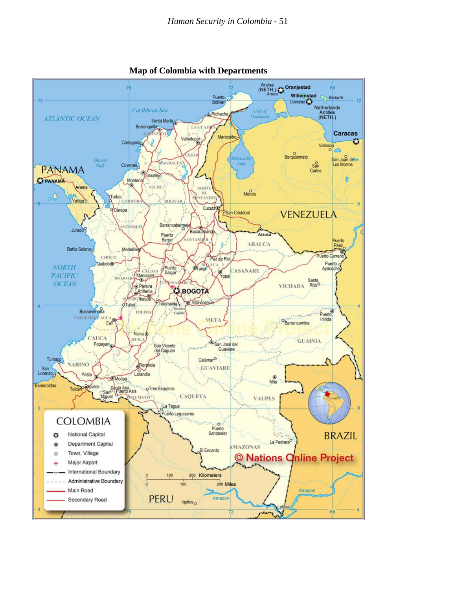

**Map of Colombia with Departments**